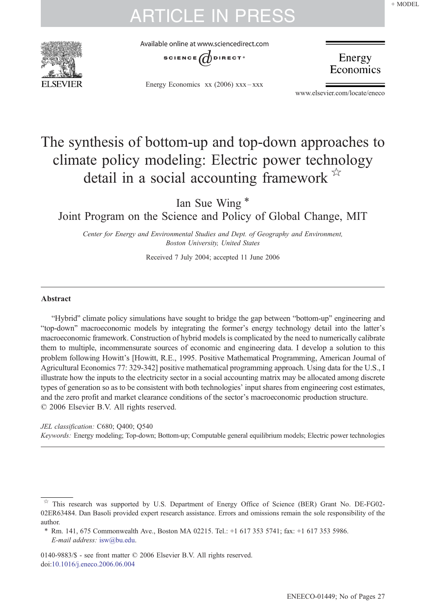

Available online at www.sciencedirect.com



Energy Economics xx (2006) xxx–xxx

Energy Economics

www.elsevier.com/locate/eneco

## The synthesis of bottom-up and top-down approaches to climate policy modeling: Electric power technology detail in a social accounting framework  $\overrightarrow{r}$

Ian Sue Wing  $*$ 

Joint Program on the Science and Policy of Global Change, MIT

Center for Energy and Environmental Studies and Dept. of Geography and Environment, Boston University, United States

Received 7 July 2004; accepted 11 June 2006

### Abstract

"Hybrid" climate policy simulations have sought to bridge the gap between "bottom-up" engineering and "top-down" macroeconomic models by integrating the former's energy technology detail into the latter's macroeconomic framework. Construction of hybrid models is complicated by the need to numerically calibrate them to multiple, incommensurate sources of economic and engineering data. I develop a solution to this problem following Howitt's [Howitt, R.E., 1995. Positive Mathematical Programming, American Journal of Agricultural Economics 77: 329-342] positive mathematical programming approach. Using data for the U.S., I illustrate how the inputs to the electricity sector in a social accounting matrix may be allocated among discrete types of generation so as to be consistent with both technologies' input shares from engineering cost estimates, and the zero profit and market clearance conditions of the sector's macroeconomic production structure. © 2006 Elsevier B.V. All rights reserved.

JEL classification: C680; Q400; Q540 Keywords: Energy modeling; Top-down; Bottom-up; Computable general equilibrium models; Electric power technologies

0140-9883/\$ - see front matter © 2006 Elsevier B.V. All rights reserved. doi:[10.1016/j.eneco.2006.06.004](http://dx.doi.org/10.1016/j.eneco.2006.06.004)

<sup>☆</sup> This research was supported by U.S. Department of Energy Office of Science (BER) Grant No. DE-FG02- 02ER63484. Dan Basoli provided expert research assistance. Errors and omissions remain the sole responsibility of the author.

<sup>⁎</sup> Rm. 141, 675 Commonwealth Ave., Boston MA 02215. Tel.: +1 617 353 5741; fax: +1 617 353 5986. E-mail address: [isw@bu.edu.](mailto:isw@bu.edu)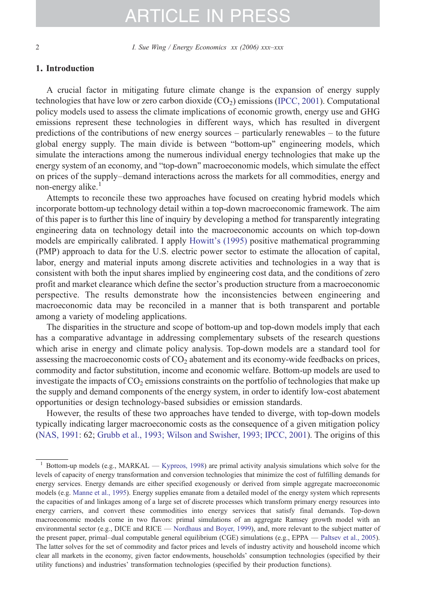2 I. Sue Wing / Energy Economics xx (2006) xxx–xxx

## 1. Introduction

A crucial factor in mitigating future climate change is the expansion of energy supply technologies that have low or zero carbon dioxide  $(CO<sub>2</sub>)$  emissions ([IPCC, 2001\)](#page-25-0). Computational policy models used to assess the climate implications of economic growth, energy use and GHG emissions represent these technologies in different ways, which has resulted in divergent predictions of the contributions of new energy sources – particularly renewables – to the future global energy supply. The main divide is between "bottom-up" engineering models, which simulate the interactions among the numerous individual energy technologies that make up the energy system of an economy, and "top-down" macroeconomic models, which simulate the effect on prices of the supply–demand interactions across the markets for all commodities, energy and non-energy alike.<sup>1</sup>

Attempts to reconcile these two approaches have focused on creating hybrid models which incorporate bottom-up technology detail within a top-down macroeconomic framework. The aim of this paper is to further this line of inquiry by developing a method for transparently integrating engineering data on technology detail into the macroeconomic accounts on which top-down models are empirically calibrated. I apply [Howitt's \(1995\)](#page-25-0) positive mathematical programming (PMP) approach to data for the U.S. electric power sector to estimate the allocation of capital, labor, energy and material inputs among discrete activities and technologies in a way that is consistent with both the input shares implied by engineering cost data, and the conditions of zero profit and market clearance which define the sector's production structure from a macroeconomic perspective. The results demonstrate how the inconsistencies between engineering and macroeconomic data may be reconciled in a manner that is both transparent and portable among a variety of modeling applications.

The disparities in the structure and scope of bottom-up and top-down models imply that each has a comparative advantage in addressing complementary subsets of the research questions which arise in energy and climate policy analysis. Top-down models are a standard tool for assessing the macroeconomic costs of  $CO<sub>2</sub>$  abatement and its economy-wide feedbacks on prices, commodity and factor substitution, income and economic welfare. Bottom-up models are used to investigate the impacts of  $CO<sub>2</sub>$  emissions constraints on the portfolio of technologies that make up the supply and demand components of the energy system, in order to identify low-cost abatement opportunities or design technology-based subsidies or emission standards.

However, the results of these two approaches have tended to diverge, with top-down models typically indicating larger macroeconomic costs as the consequence of a given mitigation policy [\(NAS, 1991:](#page-26-0) 62; [Grubb et al., 1993; Wilson and Swisher, 1993; IPCC, 2001](#page-25-0)). The origins of this

<sup>1</sup> Bottom-up models (e.g., MARKAL — [Kypreos, 1998\)](#page-25-0) are primal activity analysis simulations which solve for the levels of capacity of energy transformation and conversion technologies that minimize the cost of fulfilling demands for energy services. Energy demands are either specified exogenously or derived from simple aggregate macroeconomic models (e.g. [Manne et al., 1995\)](#page-26-0). Energy supplies emanate from a detailed model of the energy system which represents the capacities of and linkages among of a large set of discrete processes which transform primary energy resources into energy carriers, and convert these commodities into energy services that satisfy final demands. Top-down macroeconomic models come in two flavors: primal simulations of an aggregate Ramsey growth model with an environmental sector (e.g., DICE and RICE — [Nordhaus and Boyer, 1999](#page-26-0)), and, more relevant to the subject matter of the present paper, primal–dual computable general equilibrium (CGE) simulations (e.g., EPPA — [Paltsev et al., 2005\)](#page-26-0). The latter solves for the set of commodity and factor prices and levels of industry activity and household income which clear all markets in the economy, given factor endowments, households' consumption technologies (specified by their utility functions) and industries' transformation technologies (specified by their production functions).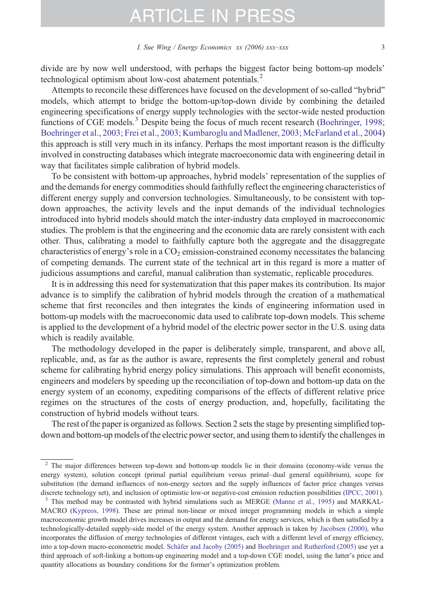#### I. Sue Wing / Energy Economics xx (2006) xxx–xxx 3

divide are by now well understood, with perhaps the biggest factor being bottom-up models' technological optimism about low-cost abatement potentials.<sup>2</sup>

Attempts to reconcile these differences have focused on the development of so-called "hybrid" models, which attempt to bridge the bottom-up/top-down divide by combining the detailed engineering specifications of energy supply technologies with the sector-wide nested production functions of CGE models.<sup>3</sup> Despite being the focus of much recent research ([Boehringer, 1998;](#page-25-0) [Boehringer et al., 2003; Frei et al., 2003; Kumbaroglu and Madlener, 2003; McFarland et al., 2004\)](#page-25-0) this approach is still very much in its infancy. Perhaps the most important reason is the difficulty involved in constructing databases which integrate macroeconomic data with engineering detail in way that facilitates simple calibration of hybrid models.

To be consistent with bottom-up approaches, hybrid models' representation of the supplies of and the demands for energy commodities should faithfully reflect the engineering characteristics of different energy supply and conversion technologies. Simultaneously, to be consistent with topdown approaches, the activity levels and the input demands of the individual technologies introduced into hybrid models should match the inter-industry data employed in macroeconomic studies. The problem is that the engineering and the economic data are rarely consistent with each other. Thus, calibrating a model to faithfully capture both the aggregate and the disaggregate characteristics of energy's role in a  $CO<sub>2</sub>$  emission-constrained economy necessitates the balancing of competing demands. The current state of the technical art in this regard is more a matter of judicious assumptions and careful, manual calibration than systematic, replicable procedures.

It is in addressing this need for systematization that this paper makes its contribution. Its major advance is to simplify the calibration of hybrid models through the creation of a mathematical scheme that first reconciles and then integrates the kinds of engineering information used in bottom-up models with the macroeconomic data used to calibrate top-down models. This scheme is applied to the development of a hybrid model of the electric power sector in the U.S. using data which is readily available.

The methodology developed in the paper is deliberately simple, transparent, and above all, replicable, and, as far as the author is aware, represents the first completely general and robust scheme for calibrating hybrid energy policy simulations. This approach will benefit economists, engineers and modelers by speeding up the reconciliation of top-down and bottom-up data on the energy system of an economy, expediting comparisons of the effects of different relative price regimes on the structures of the costs of energy production, and, hopefully, facilitating the construction of hybrid models without tears.

The rest of the paper is organized as follows. Section 2 sets the stage by presenting simplified topdown and bottom-up models of the electric power sector, and using them to identify the challenges in

<sup>&</sup>lt;sup>2</sup> The major differences between top-down and bottom-up models lie in their domains (economy-wide versus the energy system), solution concept (primal partial equilibrium versus primal–dual general equilibrium), scope for substitution (the demand influences of non-energy sectors and the supply influences of factor price changes versus discrete technology set), and inclusion of optimistic low-or negative-cost emission reduction possibilities [\(IPCC, 2001\)](#page-25-0). <sup>3</sup> This method may be contrasted with hybrid simulations such as MERGE [\(Manne et al., 1995\)](#page-26-0) and MAR

MACRO ([Kypreos, 1998](#page-25-0)). These are primal non-linear or mixed integer programming models in which a simple macroeconomic growth model drives increases in output and the demand for energy services, which is then satisfied by a technologically-detailed supply-side model of the energy system. Another approach is taken by [Jacobsen \(2000\)](#page-25-0), who incorporates the diffusion of energy technologies of different vintages, each with a different level of energy efficiency, into a top-down macro-econometric model. [Schäfer and Jacoby \(2005\)](#page-26-0) and [Boehringer and Rutherford \(2005\)](#page-25-0) use yet a third approach of soft-linking a bottom-up engineering model and a top-down CGE model, using the latter's price and quantity allocations as boundary conditions for the former's optimization problem.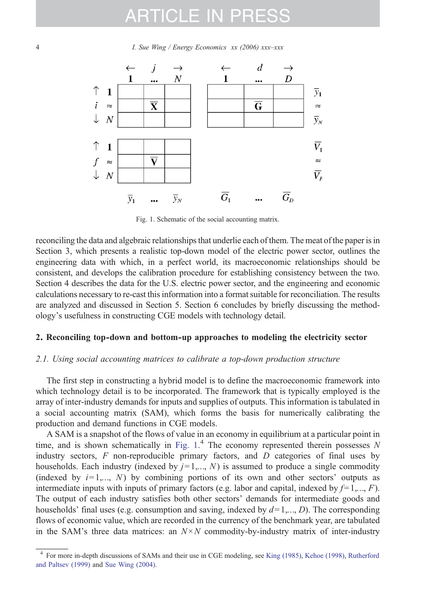4 I. Sue Wing / Energy Economics xx (2006) xxx–xxx



Fig. 1. Schematic of the social accounting matrix.

reconciling the data and algebraic relationships that underlie each of them. The meat of the paper is in Section 3, which presents a realistic top-down model of the electric power sector, outlines the engineering data with which, in a perfect world, its macroeconomic relationships should be consistent, and develops the calibration procedure for establishing consistency between the two. Section 4 describes the data for the U.S. electric power sector, and the engineering and economic calculations necessary to re-cast this information into a format suitable for reconciliation. The results are analyzed and discussed in Section 5. Section 6 concludes by briefly discussing the methodology's usefulness in constructing CGE models with technology detail.

## 2. Reconciling top-down and bottom-up approaches to modeling the electricity sector

#### 2.1. Using social accounting matrices to calibrate a top-down production structure

The first step in constructing a hybrid model is to define the macroeconomic framework into which technology detail is to be incorporated. The framework that is typically employed is the array of inter-industry demands for inputs and supplies of outputs. This information is tabulated in a social accounting matrix (SAM), which forms the basis for numerically calibrating the production and demand functions in CGE models.

A SAM is a snapshot of the flows of value in an economy in equilibrium at a particular point in time, and is shown schematically in Fig. 1.<sup>4</sup> The economy represented therein possesses N industry sectors,  $F$  non-reproducible primary factors, and  $D$  categories of final uses by households. Each industry (indexed by  $j=1,..., N$ ) is assumed to produce a single commodity (indexed by  $i=1,..., N$ ) by combining portions of its own and other sectors' outputs as intermediate inputs with inputs of primary factors (e.g. labor and capital, indexed by  $f=1,..., F$ ). The output of each industry satisfies both other sectors' demands for intermediate goods and households' final uses (e.g. consumption and saving, indexed by  $d=1,..., D$ ). The corresponding flows of economic value, which are recorded in the currency of the benchmark year, are tabulated in the SAM's three data matrices: an  $N \times N$  commodity-by-industry matrix of inter-industry

<sup>4</sup> For more in-depth discussions of SAMs and their use in CGE modeling, see [King \(1985\),](#page-25-0) [Kehoe \(1998\),](#page-25-0) [Rutherford](http://mpsge.org/papers/exburden.pdf) [and Paltsev \(1999\)](http://mpsge.org/papers/exburden.pdf) and [Sue Wing \(2004\)](#page-26-0).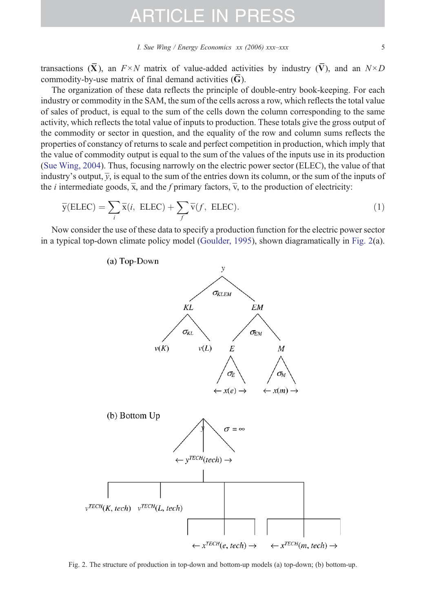### I. Sue Wing / Energy Economics xx (2006) xxx–xxx 5

<span id="page-4-0"></span>transactions  $(X)$ , an  $F \times N$  matrix of value-added activities by industry  $(\overline{V})$ , and an  $N \times D$ commodity-by-use matrix of final demand activities  $(\overline{G})$ .

The organization of these data reflects the principle of double-entry book-keeping. For each industry or commodity in the SAM, the sum of the cells across a row, which reflects the total value of sales of product, is equal to the sum of the cells down the column corresponding to the same activity, which reflects the total value of inputs to production. These totals give the gross output of the commodity or sector in question, and the equality of the row and column sums reflects the properties of constancy of returns to scale and perfect competition in production, which imply that the value of commodity output is equal to the sum of the values of the inputs use in its production ([Sue Wing, 2004](#page-26-0)). Thus, focusing narrowly on the electric power sector (ELEC), the value of that industry's output,  $\overline{y}$ , is equal to the sum of the entries down its column, or the sum of the inputs of the *i* intermediate goods,  $\overline{x}$ , and the f primary factors,  $\overline{y}$ , to the production of electricity:

$$
\overline{\mathbf{y}}(\text{ELEC}) = \sum_{i} \overline{\mathbf{x}}(i, \text{ ELEC}) + \sum_{f} \overline{\mathbf{v}}(f, \text{ ELEC}). \tag{1}
$$

Now consider the use of these data to specify a production function for the electric power sector in a typical top-down climate policy model ([Goulder, 1995\)](#page-25-0), shown diagramatically in Fig. 2(a).



Fig. 2. The structure of production in top-down and bottom-up models (a) top-down; (b) bottom-up.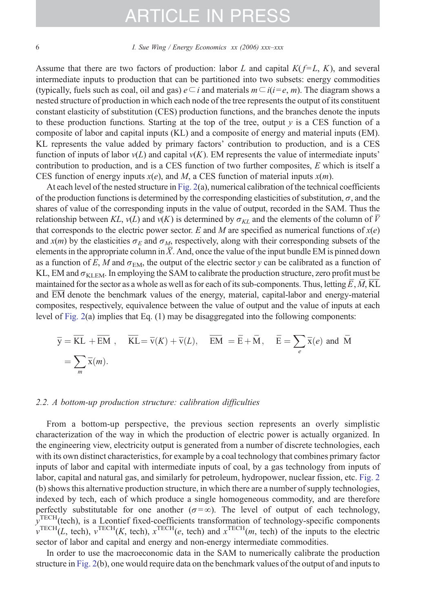### 6 I. Sue Wing / Energy Economics xx (2006) xxx–xxx

Assume that there are two factors of production: labor L and capital  $K(f=L, K)$ , and several intermediate inputs to production that can be partitioned into two subsets: energy commodities (typically, fuels such as coal, oil and gas)  $e \subseteq i$  and materials  $m \subseteq i(i=e, m)$ . The diagram shows a nested structure of production in which each node of the tree represents the output of its constituent constant elasticity of substitution (CES) production functions, and the branches denote the inputs to these production functions. Starting at the top of the tree, output  $\nu$  is a CES function of a composite of labor and capital inputs (KL) and a composite of energy and material inputs (EM). KL represents the value added by primary factors' contribution to production, and is a CES function of inputs of labor  $v(L)$  and capital  $v(K)$ . EM represents the value of intermediate inputs' contribution to production, and is a CES function of two further composites,  $E$  which is itself a CES function of energy inputs  $x(e)$ , and M, a CES function of material inputs  $x(m)$ .

At each level of the nested structure in [Fig. 2\(](#page-4-0)a), numerical calibration of the technical coefficients of the production functions is determined by the corresponding elasticities of substitution,  $\sigma$ , and the shares of value of the corresponding inputs in the value of output, recorded in the SAM. Thus the relationship between KL,  $v(L)$  and  $v(K)$  is determined by  $\sigma_{KL}$  and the elements of the column of  $\overline{V}$ that corresponds to the electric power sector. E and M are specified as numerical functions of  $x(e)$ and  $x(m)$  by the elasticities  $\sigma_F$  and  $\sigma_M$ , respectively, along with their corresponding subsets of the elements in the appropriate column in  $\overline{X}$ . And, once the value of the input bundle EM is pinned down as a function of E, M and  $\sigma_{\text{FM}}$ , the output of the electric sector y can be calibrated as a function of KL, EM and  $\sigma_{\text{KL,EM}}$ . In employing the SAM to calibrate the production structure, zero profit must be maintained for the sector as a whole as well as for each of its sub-components. Thus, letting  $E, M$ , KL $\bar{E}$ and EM denote the benchmark values of the energy, material, capital-labor and energy-material composites, respectively, equivalence between the value of output and the value of inputs at each level of [Fig. 2\(](#page-4-0)a) implies that Eq. (1) may be disaggregated into the following components:

$$
\overline{y} = \overline{KL} + \overline{EM} , \quad \overline{KL} = \overline{v}(K) + \overline{v}(L), \quad \overline{EM} = \overline{E} + \overline{M} , \quad \overline{E} = \sum_{e} \overline{x}(e) \text{ and } \overline{M}
$$

$$
= \sum_{m} \overline{x}(m).
$$

#### 2.2. A bottom-up production structure: calibration difficulties

From a bottom-up perspective, the previous section represents an overly simplistic characterization of the way in which the production of electric power is actually organized. In the engineering view, electricity output is generated from a number of discrete technologies, each with its own distinct characteristics, for example by a coal technology that combines primary factor inputs of labor and capital with intermediate inputs of coal, by a gas technology from inputs of labor, capital and natural gas, and similarly for petroleum, hydropower, nuclear fission, etc. [Fig. 2](#page-4-0) (b) shows this alternative production structure, in which there are a number of supply technologies, indexed by tech, each of which produce a single homogeneous commodity, and are therefore perfectly substitutable for one another ( $\sigma = \infty$ ). The level of output of each technology,  $y<sup>TECH</sup>$ (tech), is a Leontief fixed-coefficients transformation of technology-specific components  $v^{TECH}(L, \text{tech})$ ,  $v^{TECH}(K, \text{tech})$ ,  $x^{TECH}(e, \text{tech})$  and  $x^{TECH}(m, \text{tech})$  of the inputs to the electric sector of labor and capital and energy and non-energy intermediate commodities.

In order to use the macroeconomic data in the SAM to numerically calibrate the production structure in [Fig. 2\(](#page-4-0)b), one would require data on the benchmark values of the output of and inputs to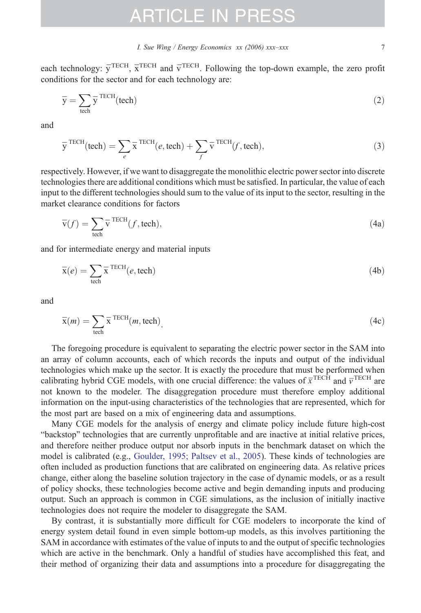### I. Sue Wing / Energy Economics xx (2006) xxx–xxx 7

each technology:  $\overline{y}^{TECH}$ ,  $\overline{x}^{TECH}$  and  $\overline{v}^{TECH}$ . Following the top-down example, the zero profit conditions for the sector and for each technology are:

$$
\overline{y} = \sum_{\text{tech}} \overline{y}^{\text{TECH}}(\text{tech}) \tag{2}
$$

and

$$
\overline{y}^{\text{TECH}}(\text{tech}) = \sum_{e} \overline{x}^{\text{TECH}}(e, \text{tech}) + \sum_{f} \overline{v}^{\text{TECH}}(f, \text{tech}), \qquad (3)
$$

respectively. However, if we want to disaggregate the monolithic electric power sector into discrete technologies there are additional conditions which must be satisfied. In particular, the value of each input to the different technologies should sum to the value of its input to the sector, resulting in the market clearance conditions for factors

$$
\overline{\mathbf{v}}(f) = \sum_{\text{tech}} \overline{\mathbf{v}}^{\text{TECH}}(f, \text{tech}),\tag{4a}
$$

and for intermediate energy and material inputs

$$
\overline{\mathbf{x}}(e) = \sum_{\text{tech}} \overline{\mathbf{x}}^{\text{TECH}}(e, \text{tech})
$$
 (4b)

and

$$
\overline{x}(m) = \sum_{\text{tech}} \overline{x}^{\text{TECH}}(m, \text{tech})
$$
 (4c)

The foregoing procedure is equivalent to separating the electric power sector in the SAM into an array of column accounts, each of which records the inputs and output of the individual technologies which make up the sector. It is exactly the procedure that must be performed when calibrating hybrid CGE models, with one crucial difference: the values of  $\overline{x}^{\text{TEC}}$  and  $\overline{v}^{\text{TEC}}$  are not known to the modeler. The disaggregation procedure must therefore employ additional information on the input-using characteristics of the technologies that are represented, which for the most part are based on a mix of engineering data and assumptions.

Many CGE models for the analysis of energy and climate policy include future high-cost "backstop" technologies that are currently unprofitable and are inactive at initial relative prices, and therefore neither produce output nor absorb inputs in the benchmark dataset on which the model is calibrated (e.g., [Goulder, 1995; Paltsev et al., 2005](#page-25-0)). These kinds of technologies are often included as production functions that are calibrated on engineering data. As relative prices change, either along the baseline solution trajectory in the case of dynamic models, or as a result of policy shocks, these technologies become active and begin demanding inputs and producing output. Such an approach is common in CGE simulations, as the inclusion of initially inactive technologies does not require the modeler to disaggregate the SAM.

By contrast, it is substantially more difficult for CGE modelers to incorporate the kind of energy system detail found in even simple bottom-up models, as this involves partitioning the SAM in accordance with estimates of the value of inputs to and the output of specific technologies which are active in the benchmark. Only a handful of studies have accomplished this feat, and their method of organizing their data and assumptions into a procedure for disaggregating the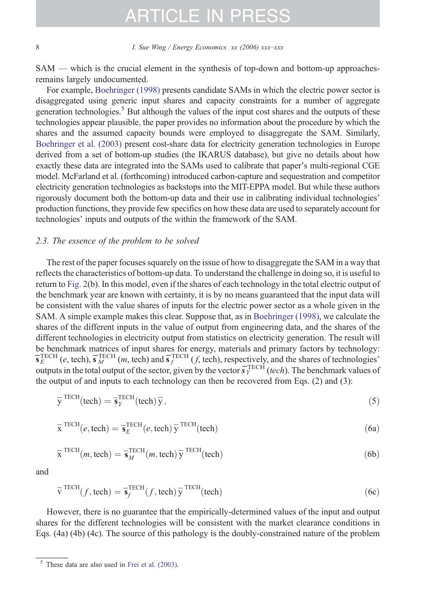### 8 I. Sue Wing / Energy Economics xx (2006) xxx-xxx

SAM — which is the crucial element in the synthesis of top-down and bottom-up approachesremains largely undocumented.

For example, [Boehringer \(1998\)](#page-25-0) presents candidate SAMs in which the electric power sector is disaggregated using generic input shares and capacity constraints for a number of aggregate generation technologies.<sup>5</sup> But although the values of the input cost shares and the outputs of these technologies appear plausible, the paper provides no information about the procedure by which the shares and the assumed capacity bounds were employed to disaggregate the SAM. Similarly, [Boehringer et al. \(2003\)](#page-25-0) present cost-share data for electricity generation technologies in Europe derived from a set of bottom-up studies (the IKARUS database), but give no details about how exactly these data are integrated into the SAMs used to calibrate that paper's multi-regional CGE model. McFarland et al. (forthcoming) introduced carbon-capture and sequestration and competitor electricity generation technologies as backstops into the MIT-EPPA model. But while these authors rigorously document both the bottom-up data and their use in calibrating individual technologies' production functions, they provide few specifics on how these data are used to separately account for technologies' inputs and outputs of the within the framework of the SAM.

### 2.3. The essence of the problem to be solved

The rest of the paper focuses squarely on the issue of how to disaggregate the SAM in a way that reflects the characteristics of bottom-up data. To understand the challenge in doing so, it is useful to return to [Fig. 2](#page-4-0)(b). In this model, even if the shares of each technology in the total electric output of the benchmark year are known with certainty, it is by no means guaranteed that the input data will be consistent with the value shares of inputs for the electric power sector as a whole given in the SAM. A simple example makes this clear. Suppose that, as in [Boehringer \(1998\),](#page-25-0) we calculate the shares of the different inputs in the value of output from engineering data, and the shares of the different technologies in electricity output from statistics on electricity generation. The result will be benchmark matrices of input shares for energy, materials and primary factors by technology:  $\overline{s}_{E}^{TECH}$  (e, tech),  $\overline{s}_{M}^{TECH}$  (m, tech) and  $\overline{s}_{f}^{TECH}$  (f, tech), respectively, and the shares of technologies' outputs in the total output of the sector, given by the vector  $\bar{s}^{\text{TECH}}_Y$  (tech). The benchmark values of the output of and inputs to each technology can then be recovered from Eqs. (2) and (3):

$$
\overline{y}^{\text{TECH}}(\text{tech}) = \overline{\mathbf{s}}^{\text{TECH}}_{Y}(\text{tech}) \overline{y}, \qquad (5)
$$

$$
\overline{\mathbf{x}}^{\text{TECH}}(e,\text{tech}) = \overline{\mathbf{s}}_E^{\text{TECH}}(e,\text{tech}) \overline{\mathbf{y}}^{\text{TECH}}(\text{tech})
$$
 (6a)

$$
\overline{\mathbf{x}}^{\text{TECH}}(m, \text{tech}) = \overline{\mathbf{s}}_M^{\text{TECH}}(m, \text{tech}) \overline{\mathbf{y}}^{\text{TECH}}(\text{tech})
$$
 (6b)

and

$$
\overline{\mathbf{v}}^{\text{TECH}}(f, \text{tech}) = \overline{\mathbf{s}}_f^{\text{TECH}}(f, \text{tech}) \overline{\mathbf{y}}^{\text{TECH}}(\text{tech})
$$
 (6c)

However, there is no guarantee that the empirically-determined values of the input and output shares for the different technologies will be consistent with the market clearance conditions in Eqs. (4a) (4b) (4c). The source of this pathology is the doubly-constrained nature of the problem

 $<sup>5</sup>$  These data are also used in [Frei et al. \(2003\).](#page-25-0)</sup>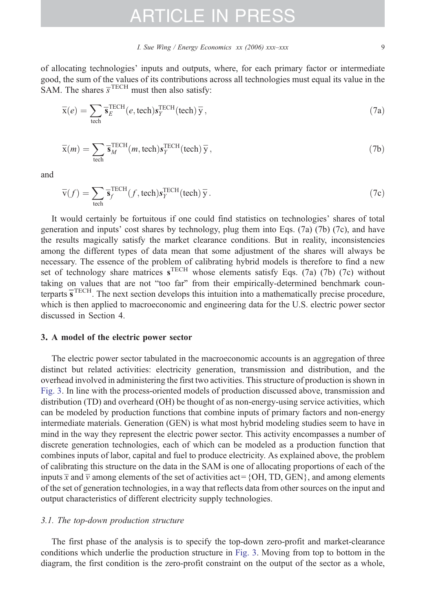### I. Sue Wing / Energy Economics xx (2006) xxx–xxx 9

of allocating technologies' inputs and outputs, where, for each primary factor or intermediate good, the sum of the values of its contributions across all technologies must equal its value in the SAM. The shares  $\overline{s}^{\text{TECH}}$  must then also satisfy:

$$
\overline{\mathbf{x}}(e) = \sum_{\text{tech}} \overline{\mathbf{s}}_E^{\text{TECH}}(e, \text{tech}) \mathbf{s}_Y^{\text{TECH}}(\text{tech}) \overline{\mathbf{y}},\tag{7a}
$$

$$
\overline{x}(m) = \sum_{\text{tech}} \overline{\mathbf{s}}_M^{\text{TECH}}(m, \text{tech}) \mathbf{s}_Y^{\text{TECH}}(\text{tech}) \overline{y}, \qquad (7b)
$$

and

$$
\overline{\mathbf{v}}(f) = \sum_{\text{tech}} \overline{\mathbf{s}}_f^{\text{TECH}}(f, \text{tech}) \mathbf{s}_Y^{\text{TECH}}(\text{tech}) \overline{\mathbf{y}}.
$$
 (7c)

It would certainly be fortuitous if one could find statistics on technologies' shares of total generation and inputs' cost shares by technology, plug them into Eqs. (7a) (7b) (7c), and have the results magically satisfy the market clearance conditions. But in reality, inconsistencies among the different types of data mean that some adjustment of the shares will always be necessary. The essence of the problem of calibrating hybrid models is therefore to find a new set of technology share matrices  $s^{TECH}$  whose elements satisfy Eqs. (7a) (7b) (7c) without taking on values that are not "too far" from their empirically-determined benchmark counterparts  $\overline{s}^{\text{TECH}}$ . The next section develops this intuition into a mathematically precise procedure, which is then applied to macroeconomic and engineering data for the U.S. electric power sector discussed in Section 4.

### 3. A model of the electric power sector

The electric power sector tabulated in the macroeconomic accounts is an aggregation of three distinct but related activities: electricity generation, transmission and distribution, and the overhead involved in administering the first two activities. This structure of production is shown in [Fig. 3.](#page-9-0) In line with the process-oriented models of production discussed above, transmission and distribution (TD) and overheard (OH) be thought of as non-energy-using service activities, which can be modeled by production functions that combine inputs of primary factors and non-energy intermediate materials. Generation (GEN) is what most hybrid modeling studies seem to have in mind in the way they represent the electric power sector. This activity encompasses a number of discrete generation technologies, each of which can be modeled as a production function that combines inputs of labor, capital and fuel to produce electricity. As explained above, the problem of calibrating this structure on the data in the SAM is one of allocating proportions of each of the inputs  $\bar{x}$  and  $\bar{v}$  among elements of the set of activities act = {OH, TD, GEN}, and among elements of the set of generation technologies, in a way that reflects data from other sources on the input and output characteristics of different electricity supply technologies.

### 3.1. The top-down production structure

The first phase of the analysis is to specify the top-down zero-profit and market-clearance conditions which underlie the production structure in [Fig. 3](#page-9-0). Moving from top to bottom in the diagram, the first condition is the zero-profit constraint on the output of the sector as a whole,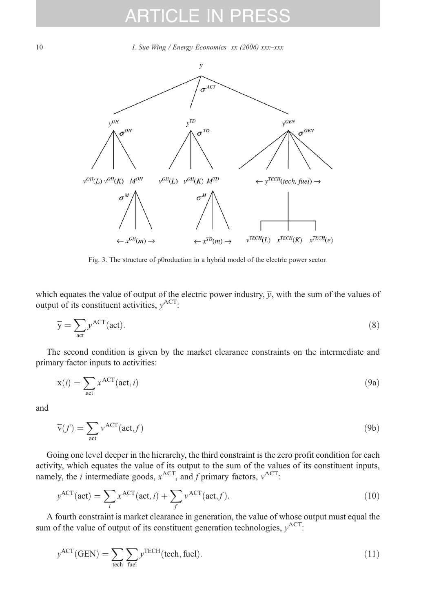<span id="page-9-0"></span>10 I. Sue Wing / Energy Economics xx (2006) xxx-xxx



Fig. 3. The structure of p0roduction in a hybrid model of the electric power sector.

which equates the value of output of the electric power industry,  $\bar{y}$ , with the sum of the values of output of its constituent activities,  $v^{ACT}$ :

$$
\overline{y} = \sum_{\text{act}} y^{\text{ACT}}(\text{act}).\tag{8}
$$

The second condition is given by the market clearance constraints on the intermediate and primary factor inputs to activities:

$$
\overline{\mathbf{x}}(i) = \sum_{\text{act}} x^{\text{ACT}}(\text{act}, i)
$$
\n(9a)

and

$$
\overline{\mathbf{v}}(f) = \sum_{\text{act}} v^{\text{ACT}}(\text{act}, f) \tag{9b}
$$

Going one level deeper in the hierarchy, the third constraint is the zero profit condition for each activity, which equates the value of its output to the sum of the values of its constituent inputs, namely, the *i* intermediate goods,  $x^{ACT}$ , and f primary factors,  $v^{ACT}$ :

$$
y^{\text{ACT}}(\text{act}) = \sum_{i} x^{\text{ACT}}(\text{act}, i) + \sum_{f} v^{\text{ACT}}(\text{act}, f). \tag{10}
$$

A fourth constraint is market clearance in generation, the value of whose output must equal the sum of the value of output of its constituent generation technologies,  $y^{ACT}$ :

$$
y^{\text{ACT}}(\text{GEN}) = \sum_{\text{tech}} \sum_{\text{fuel}} y^{\text{TECH}}(\text{tech}, \text{fuel}).
$$
 (11)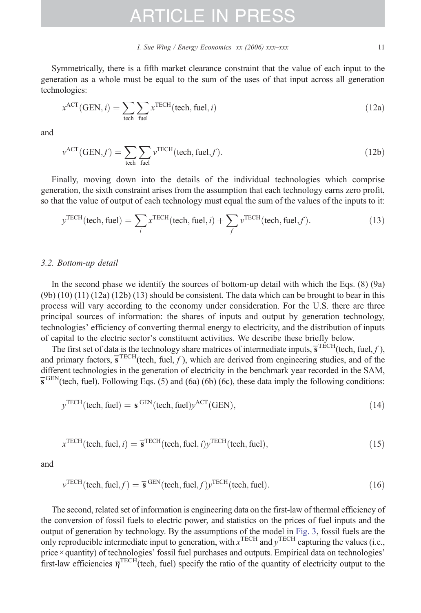### I. Sue Wing / Energy Economics xx (2006) xxx–xxx 11

Symmetrically, there is a fifth market clearance constraint that the value of each input to the generation as a whole must be equal to the sum of the uses of that input across all generation technologies:

$$
x^{\text{ACT}}(\text{GEN}, i) = \sum_{\text{tech}} \sum_{\text{fuel}} x^{\text{TECH}}(\text{tech}, \text{fuel}, i)
$$
 (12a)

and

$$
v^{\text{ACT}}(\text{GEN}, f) = \sum_{\text{tech}} \sum_{\text{fuel}} v^{\text{TECH}}(\text{tech}, \text{fuel}, f). \tag{12b}
$$

Finally, moving down into the details of the individual technologies which comprise generation, the sixth constraint arises from the assumption that each technology earns zero profit, so that the value of output of each technology must equal the sum of the values of the inputs to it:

$$
yTECH(tech, fuel) = \sum_{i} xTECH(tech, fuel, i) + \sum_{f} vTECH(tech, fuel, f).
$$
 (13)

### 3.2. Bottom-up detail

In the second phase we identify the sources of bottom-up detail with which the Eqs. (8) (9a) (9b) (10) (11) (12a) (12b) (13) should be consistent. The data which can be brought to bear in this process will vary according to the economy under consideration. For the U.S. there are three principal sources of information: the shares of inputs and output by generation technology, technologies' efficiency of converting thermal energy to electricity, and the distribution of inputs of capital to the electric sector's constituent activities. We describe these briefly below.

The first set of data is the technology share matrices of intermediate inputs,  $\overline{s}^{\text{TECH}}$ (tech, fuel, f), and primary factors,  $\overline{s}^{\text{TECH}}$ (tech, fuel, f), which are derived from engineering studies, and of the different technologies in the generation of electricity in the benchmark year recorded in the SAM,  $\overline{s}^{\text{GEN}}$ (tech, fuel). Following Eqs. (5) and (6a) (6b) (6c), these data imply the following conditions:

$$
yTECH(tech, fuel) = \overline{\mathbf{s}}GEN(tech, fuel) yACT(GEN),
$$
\n(14)

$$
x^{TECH}(\text{tech}, \text{fuel}, i) = \overline{\mathbf{s}}^{TECH}(\text{tech}, \text{fuel}, i)y^{TECH}(\text{tech}, \text{fuel}), \tag{15}
$$

and

$$
vTECH(tech, fuel, f) = \overline{\mathbf{s}}GEN(tech, fuel, f)yTECH(tech, fuel).
$$
 (16)

The second, related set of information is engineering data on the first-law of thermal efficiency of the conversion of fossil fuels to electric power, and statistics on the prices of fuel inputs and the output of generation by technology. By the assumptions of the model in [Fig. 3,](#page-9-0) fossil fuels are the only reproducible intermediate input to generation, with  $x^{TECH}$  and  $y^{TECH}$  capturing the values (i.e., price × quantity) of technologies' fossil fuel purchases and outputs. Empirical data on technologies' first-law efficiencies  $\overline{\eta}^{\text{TECH}}$ (tech, fuel) specify the ratio of the quantity of electricity output to the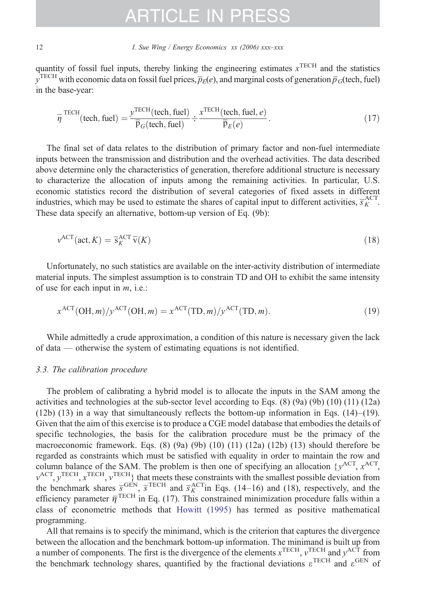12 I. Sue Wing / Energy Economics xx (2006) xxx–xxx

quantity of fossil fuel inputs, thereby linking the engineering estimates  $x^{TECH}$  and the statistics  $y<sup>TECH</sup>$  with economic data on fossil fuel prices,  $\bar{p}_E(e)$ , and marginal costs of generation  $\bar{p}_G$ (tech, fuel) in the base-year:

$$
\overline{\eta}^{\text{TECH}}(\text{tech}, \text{fuel}) = \frac{y^{\text{TECH}}(\text{tech}, \text{fuel})}{\overline{p}_G(\text{tech}, \text{fuel})} \div \frac{x^{\text{TECH}}(\text{tech}, \text{fuel}, e)}{\overline{p}_E(e)}.
$$
(17)

The final set of data relates to the distribution of primary factor and non-fuel intermediate inputs between the transmission and distribution and the overhead activities. The data described above determine only the characteristics of generation, therefore additional structure is necessary to characterize the allocation of inputs among the remaining activities. In particular, U.S. economic statistics record the distribution of several categories of fixed assets in different industries, which may be used to estimate the shares of capital input to different activities,  $\overline{s}_{K}^{\text{ACT}}$ . These data specify an alternative, bottom-up version of Eq. (9b):

$$
v^{\text{ACT}}(\text{act}, K) = \overline{s}_{K}^{\text{ACT}} \overline{v}(K)
$$
\n(18)

Unfortunately, no such statistics are available on the inter-activity distribution of intermediate material inputs. The simplest assumption is to constrain TD and OH to exhibit the same intensity of use for each input in  $m$ , i.e.:

$$
x^{\text{ACT}}(\text{OH}, m)/y^{\text{ACT}}(\text{OH}, m) = x^{\text{ACT}}(\text{TD}, m)/y^{\text{ACT}}(\text{TD}, m). \tag{19}
$$

While admittedly a crude approximation, a condition of this nature is necessary given the lack of data — otherwise the system of estimating equations is not identified.

### 3.3. The calibration procedure

The problem of calibrating a hybrid model is to allocate the inputs in the SAM among the activities and technologies at the sub-sector level according to Eqs.  $(8)$   $(9a)$   $(9b)$   $(10)$   $(11)$   $(12a)$  $(12b)$   $(13)$  in a way that simultaneously reflects the bottom-up information in Eqs.  $(14)$ – $(19)$ . Given that the aim of this exercise is to produce a CGE model database that embodies the details of specific technologies, the basis for the calibration procedure must be the primacy of the macroeconomic framework. Eqs.  $(8)$   $(9a)$   $(9b)$   $(10)$   $(11)$   $(12a)$   $(12b)$   $(13)$  should therefore be regarded as constraints which must be satisfied with equality in order to maintain the row and column balance of the SAM. The problem is then one of specifying an allocation  $\{y^{ACT}, x^{ACT},$  $v^{ACT}$ ,  $v^{TECH}$ ,  $x^{TECH}$ ,  $v^{TECH}$  that meets these constraints with the smallest possible deviation from the benchmark shares  $\bar{s}^{\text{GEN}}$ ,  $\bar{s}^{\text{TECH}}$  and  $\bar{s}^{\text{ACT}}$  in Eqs. (14–16) and (18), respectively, and the efficiency parameter  $\bar{\eta}^{TECH}$  in Eq. (17). This constrained minimization procedure falls within a class of econometric methods that [Howitt \(1995\)](#page-25-0) has termed as positive mathematical programming.

All that remains is to specify the minimand, which is the criterion that captures the divergence between the allocation and the benchmark bottom-up information. The minimand is built up from a number of components. The first is the divergence of the elements  $x^{TECH}$ ,  $v^{TECH}$  and  $y^{ACT}$  from the benchmark technology shares, quantified by the fractional deviations  $\varepsilon^{\text{TECH}}$  and  $\varepsilon^{\text{GEN}}$  of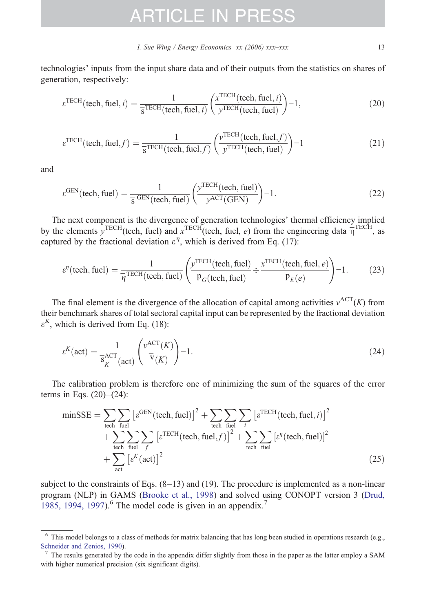### I. Sue Wing / Energy Economics xx (2006) xxx–xxx 13

technologies' inputs from the input share data and of their outputs from the statistics on shares of generation, respectively:

$$
\varepsilon^{\text{TECH}}(\text{tech}, \text{fuel}, i) = \frac{1}{\overline{s}^{\text{TECH}}(\text{tech}, \text{fuel}, i)} \left( \frac{x^{\text{TECH}}(\text{tech}, \text{fuel}, i)}{y^{\text{TECH}}(\text{tech}, \text{fuel})} \right) - 1,\tag{20}
$$

$$
\varepsilon^{\text{TECH}}(\text{tech}, \text{fuel}, f) = \frac{1}{\overline{s}^{\text{TECH}}(\text{tech}, \text{fuel}, f)} \left( \frac{v^{\text{TECH}}(\text{tech}, \text{fuel}, f)}{v^{\text{TECH}}(\text{tech}, \text{fuel})} \right) - 1 \tag{21}
$$

and

$$
\varepsilon^{\text{GEN}}(\text{tech}, \text{fuel}) = \frac{1}{\overline{s}^{\text{ GEN}}(\text{tech}, \text{fuel})} \left( \frac{y^{\text{TECH}}(\text{tech}, \text{fuel})}{y^{\text{ACT}}(\text{GEN})} \right) - 1. \tag{22}
$$

The next component is the divergence of generation technologies' thermal efficiency implied by the elements  $y<sup>TECH</sup>$ (tech, fuel) and  $x<sup>TECH</sup>$ (tech, fuel, e) from the engineering data  $\frac{1}{\eta}$ <sup>TECH</sup>, as captured by the fractional deviation  $\varepsilon^{\eta}$ , which is derived from Eq. (17):

$$
\varepsilon^{\eta}(\text{tech}, \text{fuel}) = \frac{1}{\overline{\eta}^{\text{TECH}}(\text{tech}, \text{fuel})} \left( \frac{y^{\text{TECH}}(\text{tech}, \text{fuel})}{\overline{P}_G(\text{tech}, \text{fuel})} \div \frac{x^{\text{TECH}}(\text{tech}, \text{fuel}, e)}{\overline{P}_E(e)} \right) - 1. \tag{23}
$$

The final element is the divergence of the allocation of capital among activities  $v^{ACT}(K)$  from their benchmark shares of total sectoral capital input can be represented by the fractional deviation  $\varepsilon^K$ , which is derived from Eq. (18):

$$
\varepsilon^{K}(\text{act}) = \frac{1}{\overline{s}_{K}^{\text{ACT}}(\text{act})} \left(\frac{v^{\text{ACT}}(K)}{\overline{v}(K)}\right) - 1.
$$
\n(24)

The calibration problem is therefore one of minimizing the sum of the squares of the error terms in Eqs.  $(20)–(24)$ :

$$
\text{minSSE} = \sum_{\text{tech}} \sum_{\text{fuel}} \left[ \varepsilon^{\text{GEN}}(\text{tech}, \text{fuel}) \right]^2 + \sum_{\text{tech}} \sum_{\text{fuel}} \sum_{i} \left[ \varepsilon^{\text{TECH}}(\text{tech}, \text{fuel}, i) \right]^2
$$

$$
+ \sum_{\text{tech}} \sum_{\text{fuel}} \sum_{f} \left[ \varepsilon^{\text{TECH}}(\text{tech}, \text{fuel}, f) \right]^2 + \sum_{\text{tech}} \sum_{\text{fuel}} \left[ \varepsilon^{\eta}(\text{tech}, \text{fuel}) \right]^2
$$

$$
+ \sum_{\text{act}} \left[ \varepsilon^K(\text{act}) \right]^2 \tag{25}
$$

subject to the constraints of Eqs.  $(8-13)$  and  $(19)$ . The procedure is implemented as a non-linear program (NLP) in GAMS [\(Brooke et al., 1998](#page-25-0)) and solved using CONOPT version 3 [\(Drud,](#page-25-0) [1985, 1994, 1997](#page-25-0)).<sup>6</sup> The model code is given in an appendix.<sup>7</sup>

 $6$  This model belongs to a class of methods for matrix balancing that has long been studied in operations research (e.g., Schneider and Zenios, 1990).

 $\sigma$  The results generated by the code in the appendix differ slightly from those in the paper as the latter employ a SAM with higher numerical precision (six significant digits).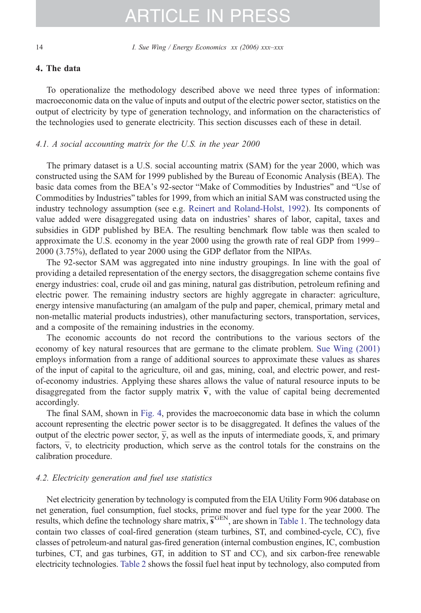14 I. Sue Wing / Energy Economics xx (2006) xxx-xxx

## 4. The data

To operationalize the methodology described above we need three types of information: macroeconomic data on the value of inputs and output of the electric power sector, statistics on the output of electricity by type of generation technology, and information on the characteristics of the technologies used to generate electricity. This section discusses each of these in detail.

### 4.1. A social accounting matrix for the U.S. in the year 2000

The primary dataset is a U.S. social accounting matrix (SAM) for the year 2000, which was constructed using the SAM for 1999 published by the Bureau of Economic Analysis (BEA). The basic data comes from the BEA's 92-sector "Make of Commodities by Industries" and "Use of Commodities by Industries" tables for 1999, from which an initial SAM was constructed using the industry technology assumption (see e.g. [Reinert and Roland-Holst, 1992\)](#page-26-0). Its components of value added were disaggregated using data on industries' shares of labor, capital, taxes and subsidies in GDP published by BEA. The resulting benchmark flow table was then scaled to approximate the U.S. economy in the year 2000 using the growth rate of real GDP from 1999– 2000 (3.75%), deflated to year 2000 using the GDP deflator from the NIPAs.

The 92-sector SAM was aggregated into nine industry groupings. In line with the goal of providing a detailed representation of the energy sectors, the disaggregation scheme contains five energy industries: coal, crude oil and gas mining, natural gas distribution, petroleum refining and electric power. The remaining industry sectors are highly aggregate in character: agriculture, energy intensive manufacturing (an amalgam of the pulp and paper, chemical, primary metal and non-metallic material products industries), other manufacturing sectors, transportation, services, and a composite of the remaining industries in the economy.

The economic accounts do not record the contributions to the various sectors of the economy of key natural resources that are germane to the climate problem. [Sue Wing \(2001\)](#page-26-0) employs information from a range of additional sources to approximate these values as shares of the input of capital to the agriculture, oil and gas, mining, coal, and electric power, and restof-economy industries. Applying these shares allows the value of natural resource inputs to be disaggregated from the factor supply matrix  $\overline{v}$ , with the value of capital being decremented accordingly.

The final SAM, shown in [Fig. 4,](#page-14-0) provides the macroeconomic data base in which the column account representing the electric power sector is to be disaggregated. It defines the values of the output of the electric power sector,  $\overline{y}$ , as well as the inputs of intermediate goods,  $\overline{x}$ , and primary factors,  $\overline{v}$ , to electricity production, which serve as the control totals for the constrains on the calibration procedure.

## 4.2. Electricity generation and fuel use statistics

Net electricity generation by technology is computed from the EIA Utility Form 906 database on net generation, fuel consumption, fuel stocks, prime mover and fuel type for the year 2000. The results, which define the technology share matrix,  $\overline{s}^{\text{GEN}}$ , are shown in [Table 1.](#page-14-0) The technology data contain two classes of coal-fired generation (steam turbines, ST, and combined-cycle, CC), five classes of petroleum-and natural gas-fired generation (internal combustion engines, IC, combustion turbines, CT, and gas turbines, GT, in addition to ST and CC), and six carbon-free renewable electricity technologies. [Table 2](#page-15-0) shows the fossil fuel heat input by technology, also computed from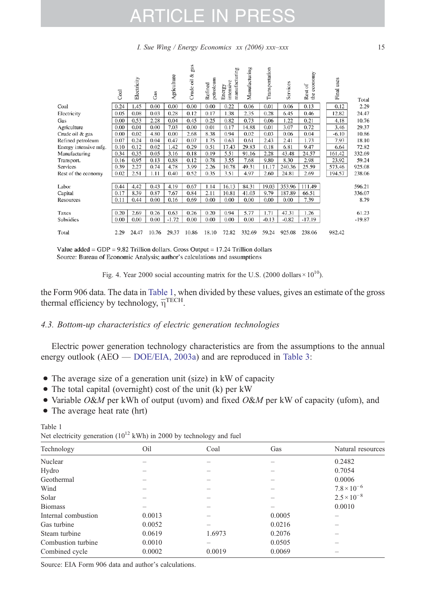#### I. Sue Wing / Energy Economics xx (2006) xxx–xxx 15

<span id="page-14-0"></span>

|                       | Coal | Electricity | Gas   | Agriculture | ga<br>Crude oil & | petroleum<br>Refined | manufacturing<br>intensive<br>Energy | Manufacturing | Transportation | Services | economy<br>Rest of<br>the | Final uses | Total    |
|-----------------------|------|-------------|-------|-------------|-------------------|----------------------|--------------------------------------|---------------|----------------|----------|---------------------------|------------|----------|
| Coal                  | 0.24 | 1.45        | 0.00  | 0.00        | 0.00              | 0.00                 | 0.22                                 | 0.06          | 0.01           | 0.06     | 0.13                      | 0.12       | 2.29     |
| Electricity           | 0.05 | 0.08        | 0.03  | 0.28        | 0.12              | 0.17                 | 1.38                                 | 2.35          | 0.28           | 6.45     | 0.46                      | 12.82      | 24.47    |
| Gas                   | 0.00 | 0.53        | 2.28  | 0.04        | 0.45              | 0.25                 | 0.82                                 | 0.73          | 0.06           | 1.22     | 0.21                      | 4.18       | 10.76    |
| Agriculture           | 0.00 | 0.01        | 0.00  | 7.03        | 0.00              | 0.01                 | 0.17                                 | 14.88         | 0.01           | 3.07     | 0.72                      | 3.46       | 29.37    |
| Crude oil & gas       | 0.00 | 0.02        | 4.80  | 0.00        | 2.68              | 8.38                 | 0.94                                 | 0.02          | 0.03           | 0.06     | 0.04                      | $-6.10$    | 10.86    |
| Refined petroleum     | 0.07 | 0.24        | 0.04  | 0.47        | 0.07              | 1.75                 | 0.63                                 | 0.61          | 2.43           | 2.41     | 1.73                      | 7.93       | 18.10    |
| Energy intensive mfg. | 0.10 | 0.12        | 0.02  | 1.42        | 0.29              | 0.51                 | 17.43                                | 29.83         | 0.18           | 6.81     | 9.47                      | 6.64       | 72.82    |
| Manufacturing         | 0.34 | 0.35        | 0.05  | 3.16        | 0.18              | 0.19                 | 5.51                                 | 91.16         | 2.28           | 43.48    | 24.57                     | 161.42     | 332.69   |
| Transport.            | 0.16 | 0.95        | 0.13  | 0.88        | 0.12              | 0.78                 | 3.55                                 | 7.68          | 9.80           | 8.30     | 2.98                      | 23.92      | 59.24    |
| Services              | 0.39 | 2.27        | 0.74  | 4.78        | 3.99              | 2.26                 | 10.78                                | 49.31         | 11.17          | 240.36   | 25.59                     | 573.46     | 925.08   |
| Rest of the economy   | 0.02 | 2.51        | 1.11  | 0.40        | 0.52              | 0.35                 | 3.51                                 | 4.97          | 2.60           | 24.81    | 2.69                      | 194.57     | 238.06   |
|                       |      |             |       |             |                   |                      |                                      |               |                |          |                           |            |          |
| Labor                 | 0.44 | 4.42        | 0.43  | 4.19        | 0.67              | 1.14                 | 16.13                                | 84.31         | 19.03          | 353.96   | 111.49                    |            | 596.21   |
| Capital               | 0.17 | 8.39        | 0.87  | 7.67        | 0.84              | 2.11                 | 10.81                                | 41.03         | 9.79           | 187.89   | 66.51                     |            | 336.07   |
| Resources             | 0.11 | 0.44        | 0.00  | 0.16        | 0.69              | 0.00                 | 0.00                                 | 0.00          | 0.00           | 0.00     | 7.39                      |            | 8.79     |
|                       |      |             |       |             |                   |                      |                                      |               |                |          |                           |            |          |
| Taxes                 | 0.20 | 2.69        | 0.26  | 0.63        | 0.26              | 0.20                 | 0.94                                 | 5.77          | 1.71           | 47.31    | 1.26                      |            | 61.23    |
| Subsidies             | 0.00 | 0.00        | 0.00  | $-1.72$     | 0.00              | 0.00                 | 0.00                                 | 0.00          | $-0.13$        | $-0.82$  | $-17.19$                  |            | $-19.87$ |
| Total                 | 2.29 | 24.47       | 10.76 | 29.37       | 10.86             | 18.10                | 72.82                                | 332.69        | 59.24          | 925.08   | 238.06                    | 982.42     |          |

Value added = GDP =  $9.82$  Trillion dollars. Gross Output = 17.24 Trillion dollars Source: Bureau of Economic Analysis; author's calculations and assumptions

Fig. 4. Year 2000 social accounting matrix for the U.S. (2000 dollars  $\times 10^{10}$ ).

the Form 906 data. The data in Table 1, when divided by these values, gives an estimate of the gross thermal efficiency by technology,  $\overline{n}^{TECH}$ .

## 4.3. Bottom-up characteristics of electric generation technologies

Electric power generation technology characteristics are from the assumptions to the annual energy outlook (AEO — [DOE/EIA, 2003a\)](#page-25-0) and are reproduced in [Table 3](#page-15-0):

- The average size of a generation unit (size) in kW of capacity
- The total capital (overnight) cost of the unit (k) per kW
- Variable  $O\&M$  per kWh of output (uvom) and fixed  $O\&M$  per kW of capacity (ufom), and
- The average heat rate (hrt)

Table 1

Net electricity generation  $(10^{12} \text{ kWh})$  in 2000 by technology and fuel

| Technology          | Oil    | Coal                     | Gas    | Natural resources        |
|---------------------|--------|--------------------------|--------|--------------------------|
| Nuclear             |        | -                        | -      | 0.2482                   |
| Hydro               |        |                          | -      | 0.7054                   |
| Geothermal          |        | -                        | -      | 0.0006                   |
| Wind                |        |                          |        | $7.8 \times 10^{-6}$     |
| Solar               |        |                          |        | $2.5 \times 10^{-8}$     |
| <b>Biomass</b>      | -      |                          | -      | 0.0010                   |
| Internal combustion | 0.0013 |                          | 0.0005 | -                        |
| Gas turbine         | 0.0052 | -                        | 0.0216 | -                        |
| Steam turbine       | 0.0619 | 1.6973                   | 0.2076 | -                        |
| Combustion turbine  | 0.0010 | $\overline{\phantom{a}}$ | 0.0505 | $\overline{\phantom{a}}$ |
| Combined cycle      | 0.0002 | 0.0019                   | 0.0069 |                          |

Source: EIA Form 906 data and author's calculations.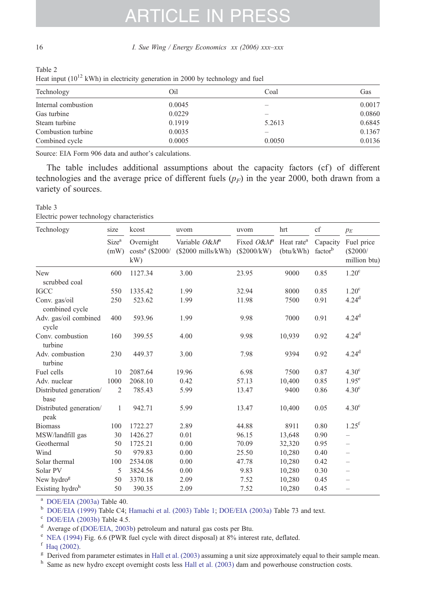<span id="page-15-0"></span>16 I. Sue Wing / Energy Economics xx (2006) xxx-xxx

#### Table 2

Heat input  $(10^{12}$  kWh) in electricity generation in 2000 by technology and fuel

| Technology          | Oil    | Coal   | Gas    |
|---------------------|--------|--------|--------|
| Internal combustion | 0.0045 | -      | 0.0017 |
| Gas turbine         | 0.0229 |        | 0.0860 |
| Steam turbine       | 0.1919 | 5.2613 | 0.6845 |
| Combustion turbine  | 0.0035 |        | 0.1367 |
| Combined cycle      | 0.0005 | 0.0050 | 0.0136 |

Source: EIA Form 906 data and author's calculations.

The table includes additional assumptions about the capacity factors (cf) of different technologies and the average price of different fuels  $(p_F)$  in the year 2000, both drawn from a variety of sources.

### Table 3

Electric power technology characteristics

| Technology                      | size                      | kcost                                | uvom                                             | uvom                         | hrt                                 | cf                              | $p_E$                                 |  |
|---------------------------------|---------------------------|--------------------------------------|--------------------------------------------------|------------------------------|-------------------------------------|---------------------------------|---------------------------------------|--|
|                                 | Size <sup>a</sup><br>(mW) | Overnight<br>$costsa$ (\$2000/<br>kW | Variable $O\&M^a$<br>$($2000 \text{ mills}/kWh)$ | Fixed $O\&M^a$<br>(S2000/kW) | Heat rate <sup>a</sup><br>(btu/kWh) | Capacity<br>factor <sup>b</sup> | Fuel price<br>(S2000/<br>million btu) |  |
| New<br>scrubbed coal            | 600                       | 1127.34                              | 3.00                                             | 23.95                        | 9000                                | 0.85                            | $1.20^{\circ}$                        |  |
| <b>IGCC</b>                     | 550                       | 1335.42                              | 1.99                                             | 32.94                        | 8000                                | 0.85                            | 1.20 <sup>c</sup>                     |  |
| Conv. gas/oil<br>combined cycle | 250                       | 523.62                               | 1.99                                             | 11.98                        | 7500                                | 0.91                            | 4.24 <sup>d</sup>                     |  |
| Adv. gas/oil combined<br>cycle  | 400                       | 593.96                               | 1.99                                             | 9.98                         | 7000                                | 0.91                            | 4.24 <sup>d</sup>                     |  |
| Conv. combustion<br>turbine     | 160                       | 399.55                               | 4.00                                             | 9.98                         | 10,939                              | 0.92                            | 4.24 <sup>d</sup>                     |  |
| Adv. combustion<br>turbine      | 230                       | 449.37                               | 3.00                                             | 7.98                         | 9394                                | 0.92                            | 4.24 <sup>d</sup>                     |  |
| Fuel cells                      | 10                        | 2087.64                              | 19.96                                            | 6.98                         | 7500                                | 0.87                            | 4.30 <sup>c</sup>                     |  |
| Adv. nuclear                    | 1000                      | 2068.10                              | 0.42                                             | 57.13                        | 10,400                              | 0.85                            | $1.95^\circ$                          |  |
| Distributed generation/<br>base | 2                         | 785.43                               | 5.99                                             | 13.47                        | 9400                                | 0.86                            | 4.30 <sup>c</sup>                     |  |
| Distributed generation/<br>peak | 1                         | 942.71                               | 5.99                                             | 13.47                        | 10,400                              | 0.05                            | 4.30 <sup>c</sup>                     |  |
| <b>Biomass</b>                  | 100                       | 1722.27                              | 2.89                                             | 44.88                        | 8911                                | 0.80                            | 1.25 <sup>f</sup>                     |  |
| MSW/landfill gas                | 30                        | 1426.27                              | 0.01                                             | 96.15                        | 13,648                              | 0.90                            |                                       |  |
| Geothermal                      | 50                        | 1725.21                              | 0.00                                             | 70.09                        | 32,320                              | 0.95                            |                                       |  |
| Wind                            | 50                        | 979.83                               | 0.00                                             | 25.50                        | 10,280                              | 0.40                            |                                       |  |
| Solar thermal                   | 100                       | 2534.08                              | 0.00                                             | 47.78                        | 10,280                              | 0.42                            |                                       |  |
| Solar PV                        | 5                         | 3824.56                              | 0.00                                             | 9.83                         | 10,280                              | 0.30                            |                                       |  |
| New hydro <sup>g</sup>          | 50                        | 3370.18                              | 2.09                                             | 7.52                         | 10,280                              | 0.45                            |                                       |  |
| Existing hydro <sup>h</sup>     | 50                        | 390.35                               | 2.09                                             | 7.52                         | 10,280                              | 0.45                            |                                       |  |

<sup>a</sup> [DOE/EIA \(2003a\)](#page-25-0) Table 40.<br><sup>b</sup> DOE/EIA (1999) Table C4; Hamachi et al. (2003) Table 1; DOE/EIA (2003a) Table 73 and text.

<sup>c</sup> [DOE/EIA \(2003b\)](#page-25-0) Table 4.5.<br>
<sup>d</sup> Average of [\(DOE/EIA, 2003b\)](#page-25-0) petroleum and natural gas costs per Btu.<br>
<sup>e</sup> [NEA \(1994\)](#page-26-0) Fig. 6.6 (PWR fuel cycle with direct disposal) at 8% interest rate, deflated.<br>
<sup>f</sup> [Haq \(2002\).](#page-25-0)<br>
<sup>g</sup>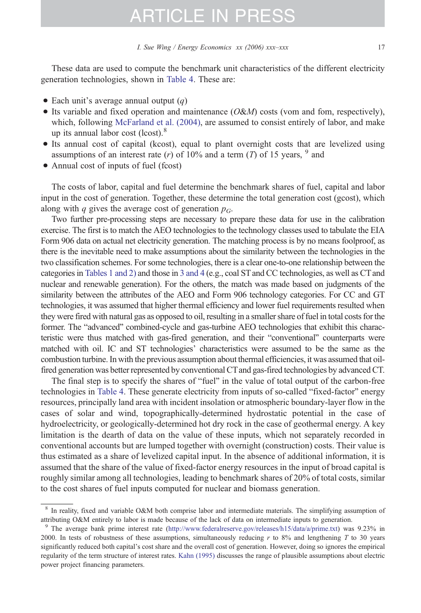I. Sue Wing / Energy Economics xx (2006) xxx–xxx 17

These data are used to compute the benchmark unit characteristics of the different electricity generation technologies, shown in [Table 4](#page-17-0). These are:

- Each unit's average annual output  $(q)$
- Its variable and fixed operation and maintenance  $(O\&M)$  costs (vom and fom, respectively), which, following [McFarland et al. \(2004\),](#page-26-0) are assumed to consist entirely of labor, and make up its annual labor cost  $($ lcost $).$ <sup>8</sup>
- Its annual cost of capital (kcost), equal to plant overnight costs that are levelized using assumptions of an interest rate (r) of 10% and a term (T) of 15 years,  $9^{\circ}$  and
- Annual cost of inputs of fuel (fcost)

The costs of labor, capital and fuel determine the benchmark shares of fuel, capital and labor input in the cost of generation. Together, these determine the total generation cost (gcost), which along with q gives the average cost of generation  $p_G$ .

Two further pre-processing steps are necessary to prepare these data for use in the calibration exercise. The first is to match the AEO technologies to the technology classes used to tabulate the EIA Form 906 data on actual net electricity generation. The matching process is by no means foolproof, as there is the inevitable need to make assumptions about the similarity between the technologies in the two classification schemes. For some technologies, there is a clear one-to-one relationship between the categories in [Tables 1 and 2\)](#page-14-0) and those in [3 and 4](#page-15-0) (e.g., coal ST and CC technologies, as well as CT and nuclear and renewable generation). For the others, the match was made based on judgments of the similarity between the attributes of the AEO and Form 906 technology categories. For CC and GT technologies, it was assumed that higher thermal efficiency and lower fuel requirements resulted when they were fired with natural gas as opposed to oil, resulting in a smaller share of fuel in total costs for the former. The "advanced" combined-cycle and gas-turbine AEO technologies that exhibit this characteristic were thus matched with gas-fired generation, and their "conventional" counterparts were matched with oil. IC and ST technologies' characteristics were assumed to be the same as the combustion turbine. In with the previous assumption about thermal efficiencies, it was assumed that oilfired generation was better represented by conventional CTand gas-fired technologies by advanced CT.

The final step is to specify the shares of "fuel" in the value of total output of the carbon-free technologies in [Table 4.](#page-17-0) These generate electricity from inputs of so-called "fixed-factor" energy resources, principally land area with incident insolation or atmospheric boundary-layer flow in the cases of solar and wind, topographically-determined hydrostatic potential in the case of hydroelectricity, or geologically-determined hot dry rock in the case of geothermal energy. A key limitation is the dearth of data on the value of these inputs, which not separately recorded in conventional accounts but are lumped together with overnight (construction) costs. Their value is thus estimated as a share of levelized capital input. In the absence of additional information, it is assumed that the share of the value of fixed-factor energy resources in the input of broad capital is roughly similar among all technologies, leading to benchmark shares of 20% of total costs, similar to the cost shares of fuel inputs computed for nuclear and biomass generation.

In reality, fixed and variable O&M both comprise labor and intermediate materials. The simplifying assumption of attributing O&M entirely to labor is made because of the lack of data on intermediate inputs to generation.

<sup>9</sup> The average bank prime interest rate [\(http://www.federalreserve.gov/releases/h15/data/a/prime.txt](http://www.federalreserve.gov/releases/h15/data/a/prime.txt)) was 9.23% in 2000. In tests of robustness of these assumptions, simultaneously reducing  $r$  to 8% and lengthening  $T$  to 30 years significantly reduced both capital's cost share and the overall cost of generation. However, doing so ignores the empirical regularity of the term structure of interest rates. [Kahn \(1995\)](#page-25-0) discusses the range of plausible assumptions about electric power project financing parameters.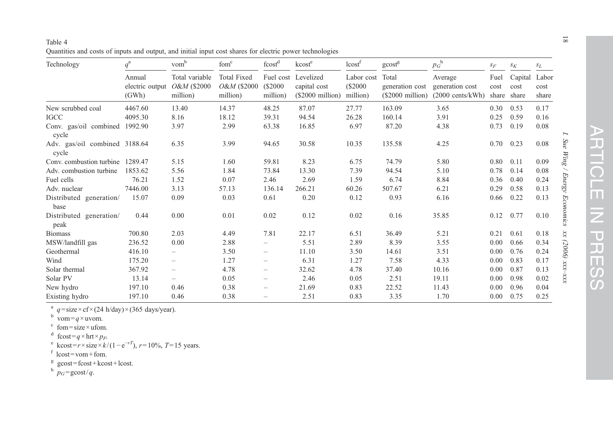<span id="page-17-0"></span>

| Table 4                                                                                                  |  |
|----------------------------------------------------------------------------------------------------------|--|
| Quantities and costs of inputs and output, and initial input cost shares for electric power technologies |  |

| Technology                              | $q^{\rm a}$                        | vom <sup>b</sup>                          | fom <sup>c</sup>                              | fcost <sup>d</sup>       | kcost <sup>e</sup>                                        | lcost <sup>T</sup>                | $\text{gcost}^g$                               | $p_G^{\ h}$                                              | $S_F$        | $S_K$                          | $S_L$                  |
|-----------------------------------------|------------------------------------|-------------------------------------------|-----------------------------------------------|--------------------------|-----------------------------------------------------------|-----------------------------------|------------------------------------------------|----------------------------------------------------------|--------------|--------------------------------|------------------------|
|                                         | Annual<br>electric output<br>(GWh) | Total variable<br>O&M (\$2000<br>million) | <b>Total Fixed</b><br>O&M (\$2000<br>million) | (\$2000<br>million)      | Fuel cost Levelized<br>capital cost<br>$(\$2000$ million) | Labor cost<br>(\$2000<br>million) | Total<br>generation cost<br>$(\$2000$ million) | Average<br>generation cost<br>$(2000 \text{ cents/kWh})$ | Fuel<br>cost | Capital<br>cost<br>share share | Labor<br>cost<br>share |
| New scrubbed coal                       | 4467.60                            | 13.40                                     | 14.37                                         | 48.25                    | 87.07                                                     | 27.77                             | 163.09                                         | 3.65                                                     | 0.30         | 0.53                           | 0.17                   |
| <b>IGCC</b>                             | 4095.30                            | 8.16                                      | 18.12                                         | 39.31                    | 94.54                                                     | 26.28                             | 160.14                                         | 3.91                                                     | 0.25         | 0.59                           | 0.16                   |
| Conv. gas/oil combined 1992.90<br>cycle |                                    | 3.97                                      | 2.99                                          | 63.38                    | 16.85                                                     | 6.97                              | 87.20                                          | 4.38                                                     | 0.73         | 0.19                           | 0.08                   |
| Adv. gas/oil combined 3188.64<br>cycle  |                                    | 6.35                                      | 3.99                                          | 94.65                    | 30.58                                                     | 10.35                             | 135.58                                         | 4.25                                                     | 0.70         | 0.23                           | 0.08                   |
| Conv. combustion turbine                | 1289.47                            | 5.15                                      | 1.60                                          | 59.81                    | 8.23                                                      | 6.75                              | 74.79                                          | 5.80                                                     | 0.80         | 0.11                           | 0.09                   |
| Adv. combustion turbine                 | 1853.62                            | 5.56                                      | 1.84                                          | 73.84                    | 13.30                                                     | 7.39                              | 94.54                                          | 5.10                                                     | 0.78         | 0.14                           | 0.08                   |
| Fuel cells                              | 76.21                              | 1.52                                      | 0.07                                          | 2.46                     | 2.69                                                      | 1.59                              | 6.74                                           | 8.84                                                     | 0.36         | 0.40                           | 0.24                   |
| Adv. nuclear                            | 7446.00                            | 3.13                                      | 57.13                                         | 136.14                   | 266.21                                                    | 60.26                             | 507.67                                         | 6.21                                                     | 0.29         | 0.58                           | 0.13                   |
| Distributed generation/<br>base         | 15.07                              | 0.09                                      | 0.03                                          | 0.61                     | 0.20                                                      | 0.12                              | 0.93                                           | 6.16                                                     | 0.66         | 0.22                           | 0.13                   |
| Distributed generation/<br>peak         | 0.44                               | 0.00                                      | 0.01                                          | 0.02                     | 0.12                                                      | 0.02                              | 0.16                                           | 35.85                                                    | 0.12         | 0.77                           | 0.10                   |
| <b>Biomass</b>                          | 700.80                             | 2.03                                      | 4.49                                          | 7.81                     | 22.17                                                     | 6.51                              | 36.49                                          | 5.21                                                     | 0.21         | 0.61                           | 0.18                   |
| MSW/landfill gas                        | 236.52                             | 0.00                                      | 2.88                                          | -                        | 5.51                                                      | 2.89                              | 8.39                                           | 3.55                                                     | 0.00         | 0.66                           | 0.34                   |
| Geothermal                              | 416.10                             | -                                         | 3.50                                          | $\overline{\phantom{0}}$ | 11.10                                                     | 3.50                              | 14.61                                          | 3.51                                                     | 0.00         | 0.76                           | 0.24                   |
| Wind                                    | 175.20                             | $-$                                       | 1.27                                          |                          | 6.31                                                      | 1.27                              | 7.58                                           | 4.33                                                     | 0.00         | 0.83                           | 0.17                   |
| Solar thermal                           | 367.92                             | -                                         | 4.78                                          | -                        | 32.62                                                     | 4.78                              | 37.40                                          | 10.16                                                    | 0.00         | 0.87                           | 0.13                   |
| Solar PV                                | 13.14                              | -                                         | 0.05                                          |                          | 2.46                                                      | 0.05                              | 2.51                                           | 19.11                                                    | 0.00         | 0.98                           | 0.02                   |
| New hydro                               | 197.10                             | 0.46                                      | 0.38                                          | -                        | 21.69                                                     | 0.83                              | 22.52                                          | 11.43                                                    | 0.00         | 0.96                           | 0.04                   |
| Existing hydro                          | 197.10                             | 0.46                                      | 0.38                                          | -                        | 2.51                                                      | 0.83                              | 3.35                                           | 1.70                                                     | 0.00         | 0.75                           | 0.25                   |

<sup>a</sup>  $q = \text{size} \times \text{cf} \times (24 \text{ h/day}) \times (365 \text{ days/year}).$ <br>
<sup>b</sup> vom =  $q \times$  uvom.<br>
<sup>c</sup> fom = size × ufom.

<sup>d</sup> fcost=q× hrt × p<sub>F</sub>.<br><sup>e</sup> kcost=r × size × k/(1−e<sup>-rT</sup>), r=10%, T=15 years.

 $\frac{f}{f}$  lcost = vom + fom.

<sup>g</sup> gcost = fcost + kcost + lcost.<br>  $p_G = \frac{g}{g}$ 

I. Sue Wing / Energy Economics xx (2006) xxx–xxx

I. Sue Wing / Energy Economics xx (2006) xxx-xxx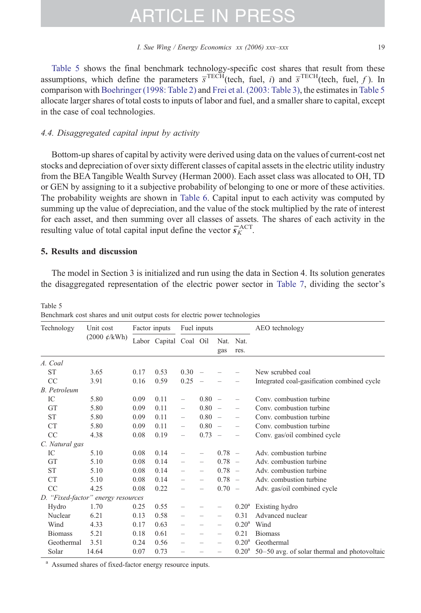I. Sue Wing / Energy Economics xx (2006) xxx–xxx 19

Table 5 shows the final benchmark technology-specific cost shares that result from these assumptions, which define the parameters  $\overline{s}^{\text{TECH}}$  (tech, fuel, i) and  $\overline{s}^{\text{TECH}}$  (tech, fuel, f). In comparison with [Boehringer \(1998:](#page-25-0) [Table 2\)](#page-15-0) and [Frei et al. \(2003:](#page-25-0) [Table 3\)](#page-15-0), the estimates in Table 5 allocate larger shares of total costs to inputs of labor and fuel, and a smaller share to capital, except in the case of coal technologies.

### 4.4. Disaggregated capital input by activity

Bottom-up shares of capital by activity were derived using data on the values of current-cost net stocks and depreciation of over sixty different classes of capital assets in the electric utility industry from the BEA Tangible Wealth Survey (Herman 2000). Each asset class was allocated to OH, TD or GEN by assigning to it a subjective probability of belonging to one or more of these activities. The probability weights are shown in [Table 6](#page-19-0). Capital input to each activity was computed by summing up the value of depreciation, and the value of the stock multiplied by the rate of interest for each asset, and then summing over all classes of assets. The shares of each activity in the resulting value of total capital input define the vector  $\bar{s}_{K}^{\text{ACT}}$ .

### 5. Results and discussion

Table 5

The model in Section 3 is initialized and run using the data in Section 4. Its solution generates the disaggregated representation of the electric power sector in [Table 7](#page-21-0), dividing the sector's

| Technology          | Unit cost                                  |      | Factor inputs          |                          | Fuel inputs |                          |                          | AEO technology                               |
|---------------------|--------------------------------------------|------|------------------------|--------------------------|-------------|--------------------------|--------------------------|----------------------------------------------|
|                     | $(2000 \; \text{\textless}\, \text{/kWh})$ |      | Labor Capital Coal Oil |                          |             | Nat.<br>gas              | Nat.<br>res.             |                                              |
| A. Coal             |                                            |      |                        |                          |             |                          |                          |                                              |
| <b>ST</b>           | 3.65                                       | 0.17 | 0.53                   | 0.30                     |             |                          |                          | New scrubbed coal                            |
| CC                  | 3.91                                       | 0.16 | 0.59                   | 0.25                     |             |                          |                          | Integrated coal-gasification combined cycle  |
| <b>B.</b> Petroleum |                                            |      |                        |                          |             |                          |                          |                                              |
| IC                  | 5.80                                       | 0.09 | 0.11                   |                          | $0.80 -$    |                          | $\qquad \qquad -$        | Conv. combustion turbine                     |
| <b>GT</b>           | 5.80                                       | 0.09 | 0.11                   |                          | $0.80 -$    |                          | -                        | Conv. combustion turbine                     |
| <b>ST</b>           | 5.80                                       | 0.09 | 0.11                   |                          | $0.80 -$    |                          | $\qquad \qquad -$        | Conv. combustion turbine                     |
| <b>CT</b>           | 5.80                                       | 0.09 | 0.11                   | $\overline{\phantom{0}}$ | $0.80 -$    |                          | $\overline{\phantom{0}}$ | Conv. combustion turbine                     |
| CC                  | 4.38                                       | 0.08 | 0.19                   | $\overline{\phantom{0}}$ | $0.73 -$    |                          | -                        | Conv. gas/oil combined cycle                 |
| C. Natural gas      |                                            |      |                        |                          |             |                          |                          |                                              |
| IC                  | 5.10                                       | 0.08 | 0.14                   |                          |             | $0.78 -$                 |                          | Adv. combustion turbine                      |
| GT                  | 5.10                                       | 0.08 | 0.14                   |                          |             | $0.78 -$                 |                          | Adv. combustion turbine                      |
| <b>ST</b>           | 5.10                                       | 0.08 | 0.14                   |                          |             | $0.78 -$                 |                          | Adv. combustion turbine                      |
| <b>CT</b>           | 5.10                                       | 0.08 | 0.14                   | $\overline{\phantom{0}}$ |             | $0.78 -$                 |                          | Adv. combustion turbine                      |
| CC                  | 4.25                                       | 0.08 | 0.22                   |                          |             | $0.70 -$                 |                          | Adv. gas/oil combined cycle                  |
|                     | D. "Fixed-factor" energy resources         |      |                        |                          |             |                          |                          |                                              |
| Hydro               | 1.70                                       | 0.25 | 0.55                   |                          |             | -                        | 0.20 <sup>a</sup>        | Existing hydro                               |
| Nuclear             | 6.21                                       | 0.13 | 0.58                   |                          |             | -                        | 0.31                     | Advanced nuclear                             |
| Wind                | 4.33                                       | 0.17 | 0.63                   |                          |             | $\overline{\phantom{0}}$ | 0.20 <sup>a</sup>        | Wind                                         |
| <b>Biomass</b>      | 5.21                                       | 0.18 | 0.61                   |                          |             |                          | 0.21                     | <b>Biomass</b>                               |
| Geothermal          | 3.51                                       | 0.24 | 0.56                   |                          |             | $\overline{\phantom{0}}$ | 0.20 <sup>a</sup>        | Geothermal                                   |
| Solar               | 14.64                                      | 0.07 | 0.73                   |                          |             | $\overline{\phantom{0}}$ | 0.20 <sup>a</sup>        | 50–50 avg. of solar thermal and photovoltaic |

Benchmark cost shares and unit output costs for electric power technologies

<sup>a</sup> Assumed shares of fixed-factor energy resource inputs.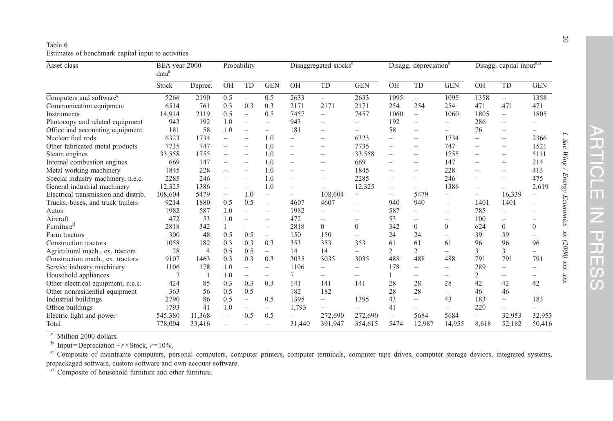### <span id="page-19-0"></span>Table 6Estimates of benchmark capital input to activities

| Asset class                          | BEA year 2000<br>data <sup>a</sup> |         | Probability              |                          |                          | Disaggregated stocks <sup>a</sup> |                          |            | Disagg. depreciation <sup>a</sup> |                          |                          | Disagg. capital inputa,b |                          |                          |
|--------------------------------------|------------------------------------|---------|--------------------------|--------------------------|--------------------------|-----------------------------------|--------------------------|------------|-----------------------------------|--------------------------|--------------------------|--------------------------|--------------------------|--------------------------|
|                                      | Stock                              | Deprec. | <b>OH</b>                | TD                       | $\overline{\text{GEN}}$  | $\overline{OH}$                   | TD                       | <b>GEN</b> | OH                                | TD                       | <b>GEN</b>               | $\overline{OH}$          | TD                       | <b>GEN</b>               |
| Computers and software <sup>c</sup>  | 5266                               | 2190    | 0.5                      | $\overline{\phantom{0}}$ | 0.5                      | 2633                              | $\overline{\phantom{0}}$ | 2633       | 1095                              | $\overline{\phantom{0}}$ | 1095                     | 1358                     | $\overline{\phantom{0}}$ | 1358                     |
| Communication equipment              | 6514                               | 761     | 0.3                      | 0.3                      | 0.3                      | 2171                              | 2171                     | 2171       | 254                               | 254                      | 254                      | 471                      | 471                      | 471                      |
| Instruments                          | 14,914                             | 2119    | 0.5                      |                          | 0.5                      | 7457                              | $\overline{\phantom{a}}$ | 7457       | 1060                              | $\overline{\phantom{0}}$ | 1060                     | 1805                     | $\overline{\phantom{0}}$ | 1805                     |
| Photocopy and related equipment      | 943                                | 192     | 1.0                      | $\overline{\phantom{0}}$ | $\overline{\phantom{0}}$ | 943                               | $\overline{\phantom{a}}$ |            | 192                               | $\overline{\phantom{0}}$ |                          | 286                      | $\overline{\phantom{m}}$ |                          |
| Office and accounting equipment      | 181                                | 58      | 1.0                      | $\overline{\phantom{0}}$ | $\qquad \qquad$          | 181                               |                          |            | 58                                |                          |                          | 76                       | $\overline{\phantom{m}}$ | -                        |
| Nuclear fuel rods                    | 6323                               | 1734    | $\overline{\phantom{0}}$ | $\overline{\phantom{0}}$ | 1.0                      | $\overline{\phantom{0}}$          | $\overline{\phantom{a}}$ | 6323       |                                   |                          | 1734                     |                          | $\overline{\phantom{m}}$ | 2366                     |
| Other fabricated metal products      | 7735                               | 747     | $\overline{\phantom{0}}$ | $\overline{\phantom{0}}$ | 1.0                      | $\overline{\phantom{0}}$          | $\overline{\phantom{a}}$ | 7735       |                                   | $\overline{\phantom{0}}$ | 747                      | $\equiv$                 | $\overline{\phantom{0}}$ | 1521                     |
| Steam engines                        | 33,558                             | 1755    | $\overline{\phantom{a}}$ | $\overline{\phantom{0}}$ | 1.0                      | -                                 | $\overline{\phantom{a}}$ | 33,558     |                                   | $\overline{\phantom{0}}$ | 1755                     | $\overline{\phantom{0}}$ |                          | 5111                     |
| Internal combustion engines          | 669                                | 147     | $\overline{\phantom{a}}$ |                          | 1.0                      | $\overline{\phantom{0}}$          | $\overline{\phantom{a}}$ | 669        |                                   |                          | 147                      |                          | $\qquad \qquad -$        | 214                      |
| Metal working machinery              | 1845                               | 228     | $\overline{\phantom{a}}$ |                          | 1.0                      |                                   |                          | 1845       |                                   | $\overline{\phantom{a}}$ | 228                      |                          | $\qquad \qquad -$        | 413                      |
| Special industry machinery, n.e.c.   | 2285                               | 246     |                          |                          | 1.0                      | $\overline{\phantom{0}}$          |                          | 2285       |                                   | $\overline{\phantom{0}}$ | 246                      |                          | $\overline{\phantom{m}}$ | 475                      |
| General industrial machinery         | 12,325                             | 1386    | $\overline{\phantom{m}}$ |                          | 1.0                      | $\overline{\phantom{0}}$          |                          | 12,325     |                                   |                          | 1386                     |                          |                          | 2,619                    |
| Electrical transmission and distrib. | 108,604                            | 5479    | $\overline{\phantom{m}}$ | 1.0                      |                          |                                   | 108,604                  |            | -                                 | 5479                     |                          |                          | 16,339                   |                          |
| Trucks, buses, and truck trailers    | 9214                               | 1880    | 0.5                      | 0.5                      | -                        | 4607                              | 4607                     |            | 940                               | 940                      |                          | 1401                     | 1401                     |                          |
| Autos                                | 1982                               | 587     | 1.0                      |                          | -                        | 1982                              |                          |            | 587                               |                          |                          | 785                      | $\overline{\phantom{0}}$ |                          |
| Aircraft                             | 472                                | 53      | 1.0                      | $\overline{\phantom{0}}$ | $\overline{\phantom{a}}$ | 472                               |                          |            | 53                                |                          |                          | 100                      | $\overline{\phantom{0}}$ |                          |
| Furniture <sup>d</sup>               | 2818                               | 342     |                          |                          | $\qquad \qquad$          | 2818                              | $\theta$                 | $\theta$   | 342                               | $\theta$                 | $\Omega$                 | 624                      | $\theta$                 | $\theta$                 |
| Farm tractors                        | 300                                | 48      | 0.5                      | 0.5                      | $\overline{\phantom{m}}$ | 150                               | 150                      |            | 24                                | 24                       | $=$                      | 39                       | 39                       | $\overline{\phantom{0}}$ |
| Construction tractors                | 1058                               | 182     | 0.3                      | 0.3                      | 0.3                      | 353                               | 353                      | 353        | 61                                | 61                       | 61                       | 96                       | 96                       | 96                       |
| Agricultural mach., ex. tractors     | 28                                 | 4       | 0.5                      | 0.5                      | -                        | 14                                | 14                       |            | 2                                 | $\overline{2}$           |                          | 3                        | 3                        |                          |
| Construction mach., ex. tractors     | 9107                               | 1463    | 0.3                      | 0.3                      | 0.3                      | 3035                              | 3035                     | 3035       | 488                               | 488                      | 488                      | 791                      | 791                      | 791                      |
| Service industry machinery           | 1106                               | 178     | 1.0                      |                          | $\overline{\phantom{0}}$ | 1106                              | -                        |            | 178                               |                          | -                        | 289                      | $\overline{\phantom{m}}$ | -                        |
| Household appliances                 |                                    |         | 1.0                      | -                        | $\qquad \qquad$          | 7                                 | -                        |            |                                   | $\overline{\phantom{0}}$ | $\overline{\phantom{0}}$ | 2                        | -                        | -                        |
| Other electrical equipment, n.e.c.   | 424                                | 85      | 0.3                      | 0.3                      | 0.3                      | 141                               | 141                      | 141        | 28                                | 28                       | 28                       | 42                       | 42                       | 42                       |
| Other nonresidential equipment       | 363                                | 56      | 0.5                      | 0.5                      |                          | 182                               | 182                      |            | 28                                | 28                       | -                        | 46                       | 46                       |                          |
| Industrial buildings                 | 2790                               | 86      | 0.5                      | -                        | 0.5                      | 1395                              | -                        | 1395       | 43                                | $\overline{\phantom{0}}$ | 43                       | 183                      | $\overline{\phantom{a}}$ | 183                      |
| Office buildings                     | 1793                               | 41      | 1.0                      | $\overline{\phantom{m}}$ | -                        | 1,793                             |                          |            | 41                                | $\overline{\phantom{0}}$ | -                        | 220                      | $\overline{\phantom{0}}$ |                          |
| Electric light and power             | 545,380                            | 11,368  | $\overline{\phantom{0}}$ | 0.5                      | 0.5                      |                                   | 272,690                  | 272,690    |                                   | 5684                     | 5684                     | $\overline{\phantom{0}}$ | 32,953                   | 32,953                   |
| Total                                | 778,004                            | 33,416  |                          |                          |                          | 31,440                            | 391,947                  | 354,615    | 5474                              | 12,987                   | 14,955                   | 8,618                    | 52,182                   | 50,416                   |

<sup>a</sup> Million 2000 dollars.

b Input = Depreciation +  $r \times$  Stock,  $r = 10\%$ .

c Composite of mainframe computers, personal computers, computer printers, computer terminals, computer tape drives, computer storage devices, integrated systems, prepackaged software, custom software and own-account software.

<sup>d</sup> Composite of household furniture and other furniture.

20

I. Sue Wing / Energy Economics xx (2006) xxx–xxx

I. Sue Wing / Energy Economics xx (2006) xxx-xxx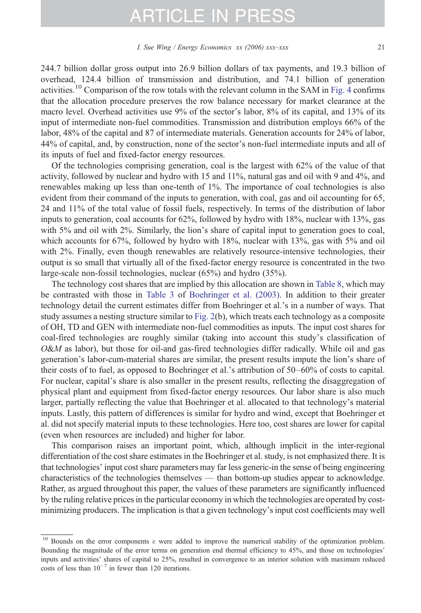244.7 billion dollar gross output into 26.9 billion dollars of tax payments, and 19.3 billion of overhead, 124.4 billion of transmission and distribution, and 74.1 billion of generation activities.<sup>10</sup> Comparison of the row totals with the relevant column in the SAM in [Fig. 4](#page-14-0) confirms that the allocation procedure preserves the row balance necessary for market clearance at the macro level. Overhead activities use 9% of the sector's labor, 8% of its capital, and 13% of its input of intermediate non-fuel commodities. Transmission and distribution employs 66% of the labor, 48% of the capital and 87 of intermediate materials. Generation accounts for 24% of labor, 44% of capital, and, by construction, none of the sector's non-fuel intermediate inputs and all of its inputs of fuel and fixed-factor energy resources.

Of the technologies comprising generation, coal is the largest with 62% of the value of that activity, followed by nuclear and hydro with 15 and 11%, natural gas and oil with 9 and 4%, and renewables making up less than one-tenth of 1%. The importance of coal technologies is also evident from their command of the inputs to generation, with coal, gas and oil accounting for 65, 24 and 11% of the total value of fossil fuels, respectively. In terms of the distribution of labor inputs to generation, coal accounts for 62%, followed by hydro with 18%, nuclear with 13%, gas with 5% and oil with 2%. Similarly, the lion's share of capital input to generation goes to coal, which accounts for 67%, followed by hydro with 18%, nuclear with 13%, gas with 5% and oil with 2%. Finally, even though renewables are relatively resource-intensive technologies, their output is so small that virtually all of the fixed-factor energy resource is concentrated in the two large-scale non-fossil technologies, nuclear (65%) and hydro (35%).

The technology cost shares that are implied by this allocation are shown in [Table 8,](#page-22-0) which may be contrasted with those in [Table 3](#page-15-0) of [Boehringer et al. \(2003\).](#page-25-0) In addition to their greater technology detail the current estimates differ from Boehringer et al.'s in a number of ways. That study assumes a nesting structure similar to [Fig. 2](#page-4-0)(b), which treats each technology as a composite of OH, TD and GEN with intermediate non-fuel commodities as inputs. The input cost shares for coal-fired technologies are roughly similar (taking into account this study's classification of  $O&M$  as labor), but those for oil-and gas-fired technologies differ radically. While oil and gas generation's labor-cum-material shares are similar, the present results impute the lion's share of their costs of to fuel, as opposed to Boehringer et al.'s attribution of 50–60% of costs to capital. For nuclear, capital's share is also smaller in the present results, reflecting the disaggregation of physical plant and equipment from fixed-factor energy resources. Our labor share is also much larger, partially reflecting the value that Boehringer et al. allocated to that technology's material inputs. Lastly, this pattern of differences is similar for hydro and wind, except that Boehringer et al. did not specify material inputs to these technologies. Here too, cost shares are lower for capital (even when resources are included) and higher for labor.

This comparison raises an important point, which, although implicit in the inter-regional differentiation of the cost share estimates in the Boehringer et al. study, is not emphasized there. It is that technologies' input cost share parameters may far less generic-in the sense of being engineering characteristics of the technologies themselves — than bottom-up studies appear to acknowledge. Rather, as argued throughout this paper, the values of these parameters are significantly influenced by the ruling relative prices in the particular economy in which the technologies are operated by costminimizing producers. The implication is that a given technology's input cost coefficients may well

<sup>&</sup>lt;sup>10</sup> Bounds on the error components  $\varepsilon$  were added to improve the numerical stability of the optimization problem. Bounding the magnitude of the error terms on generation end thermal efficiency to 45%, and those on technologies' inputs and activities' shares of capital to 25%, resulted in convergence to an interior solution with maximum reduced costs of less than  $10^{-7}$  in fewer than 120 iterations.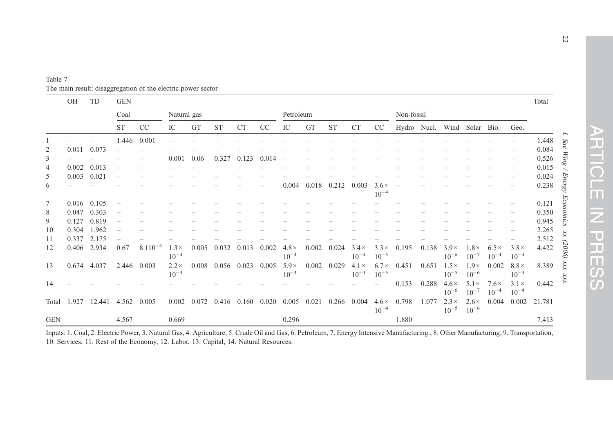|                 | OH    | TD          | <b>GEN</b> |              |                          |       |           |             |                   |                          |       |           |                                 |                           |       |             |                           |                           |                          |                           | Total  |
|-----------------|-------|-------------|------------|--------------|--------------------------|-------|-----------|-------------|-------------------|--------------------------|-------|-----------|---------------------------------|---------------------------|-------|-------------|---------------------------|---------------------------|--------------------------|---------------------------|--------|
|                 |       |             | Coal       |              | Natural gas              |       |           |             |                   | Petroleum                |       |           |                                 | Non-fossil                |       |             |                           |                           |                          |                           |        |
|                 |       |             | <b>ST</b>  | CC           | IC                       | GT    | <b>ST</b> | <b>CT</b>   | CC                | IC                       | GT    | <b>ST</b> | <b>CT</b>                       | CC                        |       | Hydro Nucl. | Wind Solar Bio.           |                           |                          | Geo.                      |        |
|                 |       |             | 1.446      | 0.001        |                          |       |           |             |                   |                          |       |           |                                 |                           |       |             |                           |                           |                          |                           | 1.448  |
| 2               | 0.011 | 0.073       |            |              |                          |       |           |             |                   |                          |       |           |                                 |                           |       |             |                           |                           |                          |                           | 0.084  |
| 3               |       |             |            |              | 0.001                    | 0.06  | 0.327     | 0.123       | 0.014             | $\overline{\phantom{a}}$ |       |           |                                 |                           |       |             |                           |                           |                          |                           | 0.526  |
| 4               | 0.002 | 0.013       |            |              |                          |       |           |             |                   |                          |       |           |                                 |                           |       |             |                           |                           |                          |                           | 0.015  |
| 5               | 0.003 | 0.021       |            |              |                          |       |           |             |                   |                          |       |           |                                 |                           |       |             |                           |                           |                          |                           | 0.024  |
| 6               |       |             |            |              |                          |       |           |             |                   | 0.004                    | 0.018 | 0.212     | 0.003                           | $3.6\times$<br>$10^{-4}$  |       |             |                           |                           |                          |                           | 0.238  |
| $7\phantom{.0}$ | 0.016 | 0.105       |            |              |                          |       |           |             |                   |                          |       |           |                                 |                           |       |             |                           |                           |                          |                           | 0.121  |
| 8               | 0.047 | 0.303       |            |              |                          |       |           |             |                   |                          |       |           |                                 |                           |       |             |                           |                           |                          |                           | 0.350  |
| 9.              | 0.127 | 0.819       |            |              |                          |       |           |             |                   |                          |       |           |                                 |                           |       |             |                           |                           |                          |                           | 0.945  |
| 10              | 0.304 | 1.962       |            |              |                          |       |           |             |                   |                          |       |           |                                 |                           |       |             |                           |                           |                          |                           | 2.265  |
| 11              | 0.337 | 2.175       |            |              |                          |       |           |             |                   |                          |       |           |                                 |                           |       |             |                           |                           |                          |                           | 2.512  |
| 12              | 0.406 | 2.934       | 0.67       | $8.110^{-4}$ | $1.3\times$<br>$10^{-4}$ | 0.005 | 0.032     | 0.013       | 0.002             | $4.8\times$<br>$10^{-4}$ | 0.002 | 0.024     | $3.4\times$<br>$10^{-4}$        | $3.3 \times$<br>$10^{-5}$ | 0.195 | 0.138       | $3.9\times$<br>$10^{-6}$  | $1.8\times$<br>$10^{-7}$  | $6.5\times$<br>$10^{-4}$ | $3.8\times$<br>$10^{-4}$  | 4.422  |
| 13              |       | 0.674 4.037 |            | 2.446 0.003  | $2.2\times$<br>$10^{-4}$ | 0.008 |           | 0.056 0.023 | 0.005             | $5.9\times$<br>$10^{-4}$ | 0.002 | 0.029     | $4.1 \times$<br>$10^{-4}$       | $6.7\times$<br>$10^{-5}$  | 0.451 | 0.651       | $1.5\times$<br>$10^{-5}$  | $1.9\times$<br>$10^{-6}$  | 0.002                    | $8.8\times$<br>$10^{-4}$  | 8.389  |
| 14              |       |             |            |              |                          |       |           |             |                   |                          |       |           |                                 |                           | 0.153 | 0.288       | $4.6\times$<br>$10^{-6}$  | $5.1 \times$<br>$10^{-7}$ | $7.6\times$<br>$10^{-4}$ | $3.1 \times$<br>$10^{-4}$ | 0.442  |
| Total           | 1.927 | 12.441      | 4.562      | 0.005        | 0.002                    | 0.072 |           |             | 0.416 0.160 0.020 |                          |       |           | $0.005$ $0.021$ $0.266$ $0.004$ | $4.6\times$<br>$10^{-4}$  | 0.798 | 1.077       | $2.3 \times$<br>$10^{-5}$ | $2.6\times$<br>$10^{-6}$  | 0.004                    | 0.002                     | 21.781 |
| <b>GEN</b>      |       |             | 4.567      |              | 0.669                    |       |           |             |                   | 0.296                    |       |           |                                 |                           | 1.880 |             |                           |                           |                          |                           | 7.413  |

<span id="page-21-0"></span>Table 7 The main result: disaggregation of the electric power sector

Inputs: 1. Coal, 2. Electric Power, 3. Natural Gas, 4. Agriculture, 5. Crude Oil and Gas, 6. Petroleum, 7. Energy Intensive Manufacturing., 8. Other Manufacturing, 9. Transportation, 10. Services, 11. Rest of the Economy, 12. Labor, 13. Capital, 14. Natural Resources.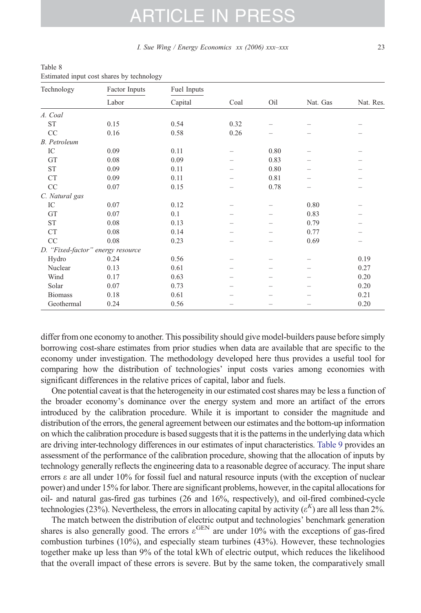#### I. Sue Wing / Energy Economics xx (2006) xxx–xxx 23

| Technology          | Factor Inputs                     | Fuel Inputs |      |      |          |           |
|---------------------|-----------------------------------|-------------|------|------|----------|-----------|
|                     | Labor                             | Capital     | Coal | Oil  | Nat. Gas | Nat. Res. |
| A. Coal             |                                   |             |      |      |          |           |
| <b>ST</b>           | 0.15                              | 0.54        | 0.32 |      |          |           |
| CC                  | 0.16                              | 0.58        | 0.26 |      |          |           |
| <b>B.</b> Petroleum |                                   |             |      |      |          |           |
| IC                  | 0.09                              | 0.11        |      | 0.80 |          |           |
| GT                  | 0.08                              | 0.09        |      | 0.83 |          |           |
| <b>ST</b>           | 0.09                              | 0.11        |      | 0.80 |          |           |
| <b>CT</b>           | 0.09                              | 0.11        |      | 0.81 |          |           |
| CC                  | 0.07                              | 0.15        |      | 0.78 |          |           |
| C. Natural gas      |                                   |             |      |      |          |           |
| IC                  | 0.07                              | 0.12        |      |      | 0.80     |           |
| GT                  | 0.07                              | 0.1         |      |      | 0.83     |           |
| <b>ST</b>           | 0.08                              | 0.13        |      |      | 0.79     |           |
| <b>CT</b>           | 0.08                              | 0.14        |      |      | 0.77     |           |
| CC                  | 0.08                              | 0.23        |      |      | 0.69     |           |
|                     | D. "Fixed-factor" energy resource |             |      |      |          |           |
| Hydro               | 0.24                              | 0.56        |      |      |          | 0.19      |
| Nuclear             | 0.13                              | 0.61        |      |      |          | 0.27      |
| Wind                | 0.17                              | 0.63        |      |      |          | 0.20      |
| Solar               | 0.07                              | 0.73        |      |      |          | 0.20      |
| <b>Biomass</b>      | 0.18                              | 0.61        |      |      |          | 0.21      |
| Geothermal          | 0.24                              | 0.56        |      |      | -        | 0.20      |

<span id="page-22-0"></span>Table 8 Estimated input cost shares by technology

differ from one economy to another. This possibility should give model-builders pause before simply borrowing cost-share estimates from prior studies when data are available that are specific to the economy under investigation. The methodology developed here thus provides a useful tool for comparing how the distribution of technologies' input costs varies among economies with significant differences in the relative prices of capital, labor and fuels.

One potential caveat is that the heterogeneity in our estimated cost shares may be less a function of the broader economy's dominance over the energy system and more an artifact of the errors introduced by the calibration procedure. While it is important to consider the magnitude and distribution of the errors, the general agreement between our estimates and the bottom-up information on which the calibration procedure is based suggests that it is the patterns in the underlying data which are driving inter-technology differences in our estimates of input characteristics. [Table 9](#page-23-0) provides an assessment of the performance of the calibration procedure, showing that the allocation of inputs by technology generally reflects the engineering data to a reasonable degree of accuracy. The input share errors ε are all under 10% for fossil fuel and natural resource inputs (with the exception of nuclear power) and under 15% for labor. There are significant problems, however, in the capital allocations for oil- and natural gas-fired gas turbines (26 and 16%, respectively), and oil-fired combined-cycle technologies (23%). Nevertheless, the errors in allocating capital by activity ( $\varepsilon^{K}$ ) are all less than 2%.

The match between the distribution of electric output and technologies' benchmark generation shares is also generally good. The errors  $\varepsilon^{\text{GEN}}$  are under 10% with the exceptions of gas-fired combustion turbines (10%), and especially steam turbines (43%). However, these technologies together make up less than 9% of the total kWh of electric output, which reduces the likelihood that the overall impact of these errors is severe. But by the same token, the comparatively small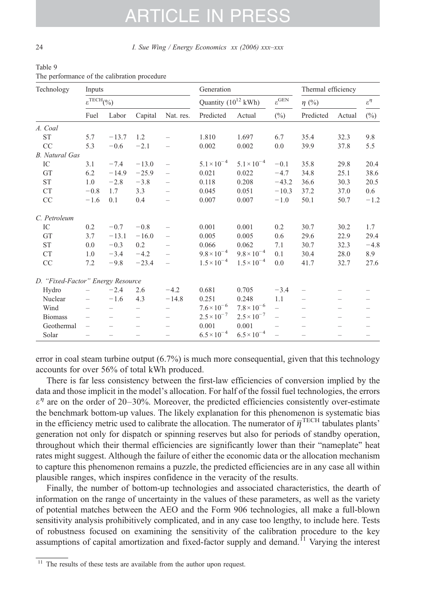<span id="page-23-0"></span>24 I. Sue Wing / Energy Economics xx (2006) xxx–xxx

Table 9

The performance of the calibration procedure

| Technology                        | Inputs                       |         |                          |                                  | Generation               |                      |                          | Thermal efficiency |        |                    |
|-----------------------------------|------------------------------|---------|--------------------------|----------------------------------|--------------------------|----------------------|--------------------------|--------------------|--------|--------------------|
|                                   | $\varepsilon^{\rm TECH}$ (%) |         |                          |                                  | Quantity $(10^{12}$ kWh) |                      | $\varepsilon$ GEN        | $\eta$ (%)         |        | $\varepsilon^\eta$ |
|                                   | Fuel                         | Labor   | Capital                  | Nat. res.                        | Predicted                | Actual               | $(\%)$                   | Predicted          | Actual | $(\%)$             |
| A. Coal                           |                              |         |                          |                                  |                          |                      |                          |                    |        |                    |
| <b>ST</b>                         | 5.7                          | $-13.7$ | 1.2                      |                                  | 1.810                    | 1.697                | 6.7                      | 35.4               | 32.3   | 9.8                |
| CC                                | 5.3                          | $-0.6$  | $-2.1$                   |                                  | 0.002                    | 0.002                | 0.0                      | 39.9               | 37.8   | 5.5                |
| <b>B.</b> Natural Gas             |                              |         |                          |                                  |                          |                      |                          |                    |        |                    |
| ${\rm IC}$                        | 3.1                          | $-7.4$  | $-13.0$                  | $\overbrace{\phantom{12322111}}$ | $5.1 \times 10^{-4}$     | $5.1 \times 10^{-4}$ | $-0.1$                   | 35.8               | 29.8   | 20.4               |
| GT                                | 6.2                          | $-14.9$ | $-25.9$                  | $\overline{\phantom{0}}$         | 0.021                    | 0.022                | $-4.7$                   | 34.8               | 25.1   | 38.6               |
| <b>ST</b>                         | 1.0                          | $-2.8$  | $-3.8$                   | $\overline{\phantom{0}}$         | 0.118                    | 0.208                | $-43.2$                  | 36.6               | 30.3   | 20.5               |
| <b>CT</b>                         | $-0.8$                       | 1.7     | 3.3                      | $\overline{\phantom{0}}$         | 0.045                    | 0.051                | $-10.3$                  | 37.2               | 37.0   | 0.6                |
| CC                                | $-1.6$                       | 0.1     | 0.4                      |                                  | 0.007                    | 0.007                | $-1.0$                   | 50.1               | 50.7   | $-1.2$             |
| C. Petroleum                      |                              |         |                          |                                  |                          |                      |                          |                    |        |                    |
| IC                                | 0.2                          | $-0.7$  | $-0.8$                   |                                  | 0.001                    | 0.001                | 0.2                      | 30.7               | 30.2   | 1.7                |
| GT                                | 3.7                          | $-13.1$ | $-16.0$                  | $\overline{\phantom{0}}$         | 0.005                    | 0.005                | 0.6                      | 29.6               | 22.9   | 29.4               |
| <b>ST</b>                         | 0.0                          | $-0.3$  | 0.2                      |                                  | 0.066                    | 0.062                | 7.1                      | 30.7               | 32.3   | $-4.8$             |
| <b>CT</b>                         | 1.0                          | $-3.4$  | $-4.2$                   | $\overline{\phantom{0}}$         | $9.8 \times 10^{-4}$     | $9.8 \times 10^{-4}$ | 0.1                      | 30.4               | 28.0   | 8.9                |
| CC                                | 7.2                          | $-9.8$  | $-23.4$                  |                                  | $1.5 \times 10^{-4}$     | $1.5 \times 10^{-4}$ | 0.0                      | 41.7               | 32.7   | 27.6               |
| D. "Fixed-Factor" Energy Resource |                              |         |                          |                                  |                          |                      |                          |                    |        |                    |
| Hydro                             |                              | $-2.4$  | 2.6                      | $-4.2$                           | 0.681                    | 0.705                | $-3.4$                   |                    |        |                    |
| Nuclear                           |                              | $-1.6$  | 4.3                      | $-14.8$                          | 0.251                    | 0.248                | 1.1                      | -                  |        |                    |
| Wind                              |                              |         |                          |                                  | $7.6 \times 10^{-6}$     | $7.8 \times 10^{-6}$ |                          |                    |        |                    |
| <b>Biomass</b>                    |                              | -       | $\overline{\phantom{0}}$ | $\overline{\phantom{0}}$         | $2.5 \times 10^{-7}$     | $2.5 \times 10^{-7}$ | $\overline{\phantom{0}}$ |                    | -      |                    |
| Geothermal                        | $\overline{\phantom{0}}$     |         |                          |                                  | 0.001                    | 0.001                | $\qquad \qquad -$        |                    |        |                    |
| Solar                             |                              |         |                          |                                  | $6.5 \times 10^{-4}$     | $6.5 \times 10^{-4}$ | $\overline{\phantom{0}}$ |                    |        |                    |

error in coal steam turbine output (6.7%) is much more consequential, given that this technology accounts for over 56% of total kWh produced.

There is far less consistency between the first-law efficiencies of conversion implied by the data and those implicit in the model's allocation. For half of the fossil fuel technologies, the errors  $\varepsilon^{\eta}$  are on the order of 20–30%. Moreover, the predicted efficiencies consistently over-estimate the benchmark bottom-up values. The likely explanation for this phenomenon is systematic bias in the efficiency metric used to calibrate the allocation. The numerator of  $\overline{\eta}^{\text{TECH}}$  tabulates plants' generation not only for dispatch or spinning reserves but also for periods of standby operation, throughout which their thermal efficiencies are significantly lower than their "nameplate" heat rates might suggest. Although the failure of either the economic data or the allocation mechanism to capture this phenomenon remains a puzzle, the predicted efficiencies are in any case all within plausible ranges, which inspires confidence in the veracity of the results.

Finally, the number of bottom-up technologies and associated characteristics, the dearth of information on the range of uncertainty in the values of these parameters, as well as the variety of potential matches between the AEO and the Form 906 technologies, all make a full-blown sensitivity analysis prohibitively complicated, and in any case too lengthy, to include here. Tests of robustness focused on examining the sensitivity of the calibration procedure to the key assumptions of capital amortization and fixed-factor supply and demand.<sup>11</sup> Varying the interest

<sup>&</sup>lt;sup>11</sup> The results of these tests are available from the author upon request.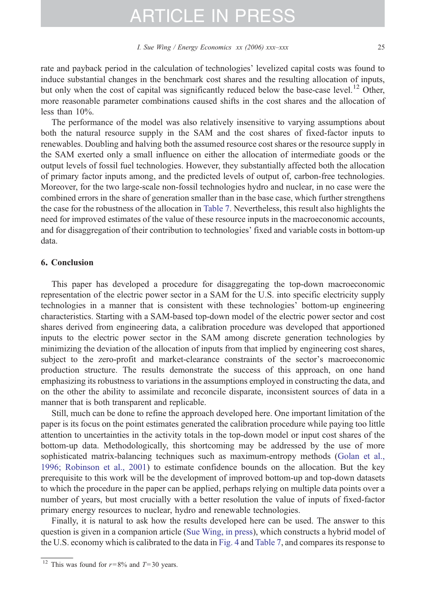I. Sue Wing / Energy Economics xx (2006) xxx–xxx 25

rate and payback period in the calculation of technologies' levelized capital costs was found to induce substantial changes in the benchmark cost shares and the resulting allocation of inputs, but only when the cost of capital was significantly reduced below the base-case level.<sup>12</sup> Other, more reasonable parameter combinations caused shifts in the cost shares and the allocation of less than 10%.

The performance of the model was also relatively insensitive to varying assumptions about both the natural resource supply in the SAM and the cost shares of fixed-factor inputs to renewables. Doubling and halving both the assumed resource cost shares or the resource supply in the SAM exerted only a small influence on either the allocation of intermediate goods or the output levels of fossil fuel technologies. However, they substantially affected both the allocation of primary factor inputs among, and the predicted levels of output of, carbon-free technologies. Moreover, for the two large-scale non-fossil technologies hydro and nuclear, in no case were the combined errors in the share of generation smaller than in the base case, which further strengthens the case for the robustness of the allocation in [Table 7](#page-21-0). Nevertheless, this result also highlights the need for improved estimates of the value of these resource inputs in the macroeconomic accounts, and for disaggregation of their contribution to technologies' fixed and variable costs in bottom-up data.

### 6. Conclusion

This paper has developed a procedure for disaggregating the top-down macroeconomic representation of the electric power sector in a SAM for the U.S. into specific electricity supply technologies in a manner that is consistent with these technologies' bottom-up engineering characteristics. Starting with a SAM-based top-down model of the electric power sector and cost shares derived from engineering data, a calibration procedure was developed that apportioned inputs to the electric power sector in the SAM among discrete generation technologies by minimizing the deviation of the allocation of inputs from that implied by engineering cost shares, subject to the zero-profit and market-clearance constraints of the sector's macroeconomic production structure. The results demonstrate the success of this approach, on one hand emphasizing its robustness to variations in the assumptions employed in constructing the data, and on the other the ability to assimilate and reconcile disparate, inconsistent sources of data in a manner that is both transparent and replicable.

Still, much can be done to refine the approach developed here. One important limitation of the paper is its focus on the point estimates generated the calibration procedure while paying too little attention to uncertainties in the activity totals in the top-down model or input cost shares of the bottom-up data. Methodologically, this shortcoming may be addressed by the use of more sophisticated matrix-balancing techniques such as maximum-entropy methods [\(Golan et al.,](#page-25-0) [1996; Robinson et al., 2001](#page-25-0)) to estimate confidence bounds on the allocation. But the key prerequisite to this work will be the development of improved bottom-up and top-down datasets to which the procedure in the paper can be applied, perhaps relying on multiple data points over a number of years, but most crucially with a better resolution the value of inputs of fixed-factor primary energy resources to nuclear, hydro and renewable technologies.

Finally, it is natural to ask how the results developed here can be used. The answer to this question is given in a companion article [\(Sue Wing, in press](#page-26-0)), which constructs a hybrid model of the U.S. economy which is calibrated to the data in [Fig. 4](#page-14-0) and [Table 7](#page-21-0), and compares its response to

<sup>&</sup>lt;sup>12</sup> This was found for  $r = 8\%$  and  $T = 30$  years.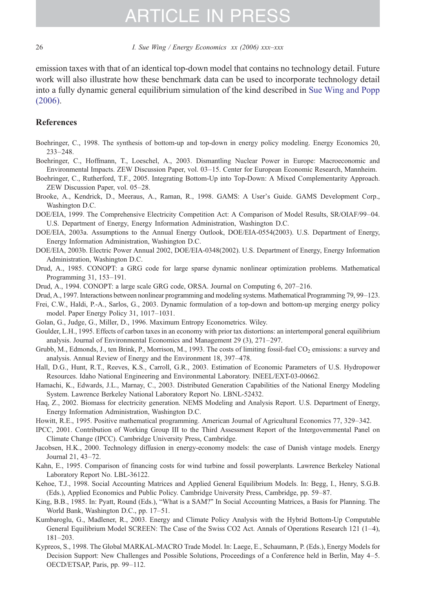<span id="page-25-0"></span>26 I. Sue Wing / Energy Economics xx (2006) xxx–xxx

emission taxes with that of an identical top-down model that contains no technology detail. Future work will also illustrate how these benchmark data can be used to incorporate technology detail into a fully dynamic general equilibrium simulation of the kind described in [Sue Wing and Popp](#page-26-0) [\(2006\)](#page-26-0).

### References

- Boehringer, C., 1998. The synthesis of bottom-up and top-down in energy policy modeling. Energy Economics 20, 233–248.
- Boehringer, C., Hoffmann, T., Loeschel, A., 2003. Dismantling Nuclear Power in Europe: Macroeconomic and Environmental Impacts. ZEW Discussion Paper, vol. 03–15. Center for European Economic Research, Mannheim.
- Boehringer, C., Rutherford, T.F., 2005. Integrating Bottom-Up into Top-Down: A Mixed Complementarity Approach. ZEW Discussion Paper, vol. 05–28.
- Brooke, A., Kendrick, D., Meeraus, A., Raman, R., 1998. GAMS: A User's Guide. GAMS Development Corp., Washington D.C.
- DOE/EIA, 1999. The Comprehensive Electricity Competition Act: A Comparison of Model Results, SR/OIAF/99–04. U.S. Department of Energy, Energy Information Administration, Washington D.C.
- DOE/EIA, 2003a. Assumptions to the Annual Energy Outlook, DOE/EIA-0554(2003). U.S. Department of Energy, Energy Information Administration, Washington D.C.
- DOE/EIA, 2003b. Electric Power Annual 2002, DOE/EIA-0348(2002). U.S. Department of Energy, Energy Information Administration, Washington D.C.
- Drud, A., 1985. CONOPT: a GRG code for large sparse dynamic nonlinear optimization problems. Mathematical Programming 31, 153–191.
- Drud, A., 1994. CONOPT: a large scale GRG code, ORSA. Journal on Computing 6, 207–216.
- Drud, A., 1997. Interactions between nonlinear programming and modeling systems. Mathematical Programming 79, 99–123.
- Frei, C.W., Haldi, P.-A., Sarlos, G., 2003. Dynamic formulation of a top-down and bottom-up merging energy policy model. Paper Energy Policy 31, 1017–1031.
- Golan, G., Judge, G., Miller, D., 1996. Maximum Entropy Econometrics. Wiley.
- Goulder, L.H., 1995. Effects of carbon taxes in an economy with prior tax distortions: an intertemporal general equilibrium analysis. Journal of Environmental Economics and Management 29 (3), 271–297.
- Grubb, M., Edmonds, J., ten Brink, P., Morrison, M., 1993. The costs of limiting fossil-fuel CO<sub>2</sub> emissions: a survey and analysis. Annual Review of Energy and the Environment 18, 397–478.
- Hall, D.G., Hunt, R.T., Reeves, K.S., Carroll, G.R., 2003. Estimation of Economic Parameters of U.S. Hydropower Resources. Idaho National Engineering and Environmental Laboratory. INEEL/EXT-03-00662.
- Hamachi, K., Edwards, J.L., Marnay, C., 2003. Distributed Generation Capabilities of the National Energy Modeling System. Lawrence Berkeley National Laboratory Report No. LBNL-52432.
- Haq, Z., 2002. Biomass for electricity generation. NEMS Modeling and Analysis Report. U.S. Department of Energy, Energy Information Administration, Washington D.C.
- Howitt, R.E., 1995. Positive mathematical programming. American Journal of Agricultural Economics 77, 329–342.
- IPCC, 2001. Contribution of Working Group III to the Third Assessment Report of the Intergovernmental Panel on Climate Change (IPCC). Cambridge University Press, Cambridge.
- Jacobsen, H.K., 2000. Technology diffusion in energy-economy models: the case of Danish vintage models. Energy Journal 21, 43–72.
- Kahn, E., 1995. Comparison of financing costs for wind turbine and fossil powerplants. Lawrence Berkeley National Laboratory Report No. LBL-36122.
- Kehoe, T.J., 1998. Social Accounting Matrices and Applied General Equilibrium Models. In: Begg, I., Henry, S.G.B. (Eds.), Applied Economics and Public Policy. Cambridge University Press, Cambridge, pp. 59–87.
- King, B.B., 1985. In: Pyatt, Round (Eds.), "What is a SAM?" In Social Accounting Matrices, a Basis for Planning. The World Bank, Washington D.C., pp. 17–51.
- Kumbaroglu, G., Madlener, R., 2003. Energy and Climate Policy Analysis with the Hybrid Bottom-Up Computable General Equilibrium Model SCREEN: The Case of the Swiss CO2 Act. Annals of Operations Research 121 (1–4), 181–203.
- Kypreos, S., 1998. The Global MARKAL-MACRO Trade Model. In: Laege, E., Schaumann, P. (Eds.), Energy Models for Decision Support: New Challenges and Possible Solutions, Proceedings of a Conference held in Berlin, May 4–5. OECD/ETSAP, Paris, pp. 99–112.